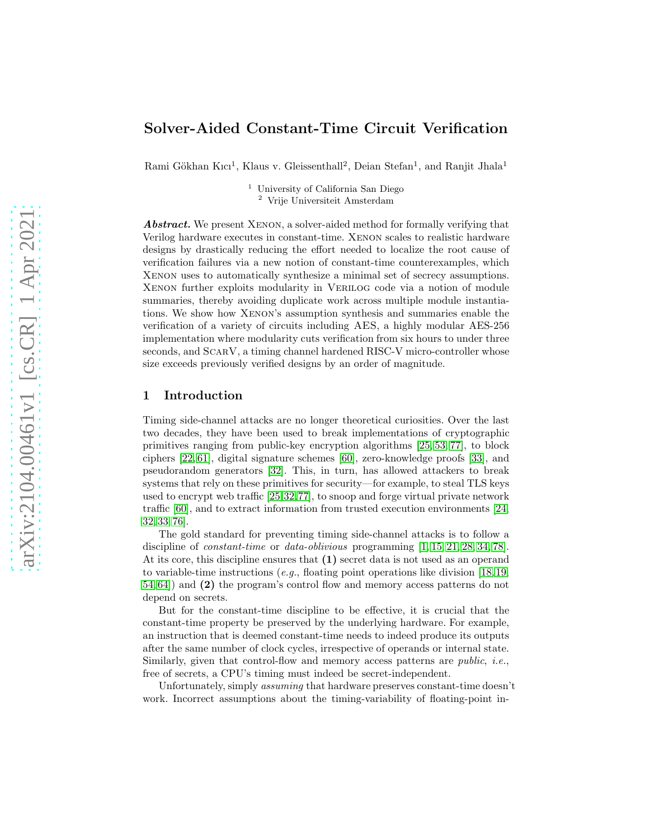# Solver-Aided Constant-Time Circuit Verification

Rami Gökhan Kıcı<sup>1</sup>, Klaus v. Gleissenthall<sup>2</sup>, Deian Stefan<sup>1</sup>, and Ranjit Jhala<sup>1</sup>

<sup>1</sup> University of California San Diego <sup>2</sup> Vrije Universiteit Amsterdam

Abstract. We present XENON, a solver-aided method for formally verifying that Verilog hardware executes in constant-time. Xenon scales to realistic hardware designs by drastically reducing the effort needed to localize the root cause of verification failures via a new notion of constant-time counterexamples, which Xenon uses to automatically synthesize a minimal set of secrecy assumptions. Xenon further exploits modularity in Verilog code via a notion of module summaries, thereby avoiding duplicate work across multiple module instantiations. We show how Xenon's assumption synthesis and summaries enable the verification of a variety of circuits including AES, a highly modular AES-256 implementation where modularity cuts verification from six hours to under three seconds, and ScarV, a timing channel hardened RISC-V micro-controller whose size exceeds previously verified designs by an order of magnitude.

### 1 Introduction

Timing side-channel attacks are no longer theoretical curiosities. Over the last two decades, they have been used to break implementations of cryptographic primitives ranging from public-key encryption algorithms [\[25,](#page-21-0) [53,](#page-22-0) [77\]](#page-24-0), to block ciphers [\[22,](#page-21-1) [61\]](#page-23-0), digital signature schemes [\[60\]](#page-23-1), zero-knowledge proofs [\[33\]](#page-21-2), and pseudorandom generators [\[32\]](#page-21-3). This, in turn, has allowed attackers to break systems that rely on these primitives for security—for example, to steal TLS keys used to encrypt web traffic [\[25,](#page-21-0)[32,](#page-21-3)[77\]](#page-24-0), to snoop and forge virtual private network traffic [\[60\]](#page-23-1), and to extract information from trusted execution environments [\[24,](#page-21-4) [32,](#page-21-3) [33,](#page-21-2) [76\]](#page-24-1).

The gold standard for preventing timing side-channel attacks is to follow a discipline of *constant-time* or *data-oblivious* programming [\[1,](#page-20-0) [15,](#page-20-1) [21,](#page-21-5) [28,](#page-21-6) [34,](#page-21-7) [78\]](#page-24-2). At its core, this discipline ensures that (1) secret data is not used as an operand to variable-time instructions (e.g., floating point operations like division [\[18,](#page-20-2) [19,](#page-20-3) [54,](#page-22-1) [64\]](#page-23-2)) and (2) the program's control flow and memory access patterns do not depend on secrets.

But for the constant-time discipline to be effective, it is crucial that the constant-time property be preserved by the underlying hardware. For example, an instruction that is deemed constant-time needs to indeed produce its outputs after the same number of clock cycles, irrespective of operands or internal state. Similarly, given that control-flow and memory access patterns are public, i.e., free of secrets, a CPU's timing must indeed be secret-independent.

Unfortunately, simply assuming that hardware preserves constant-time doesn't work. Incorrect assumptions about the timing-variability of floating-point in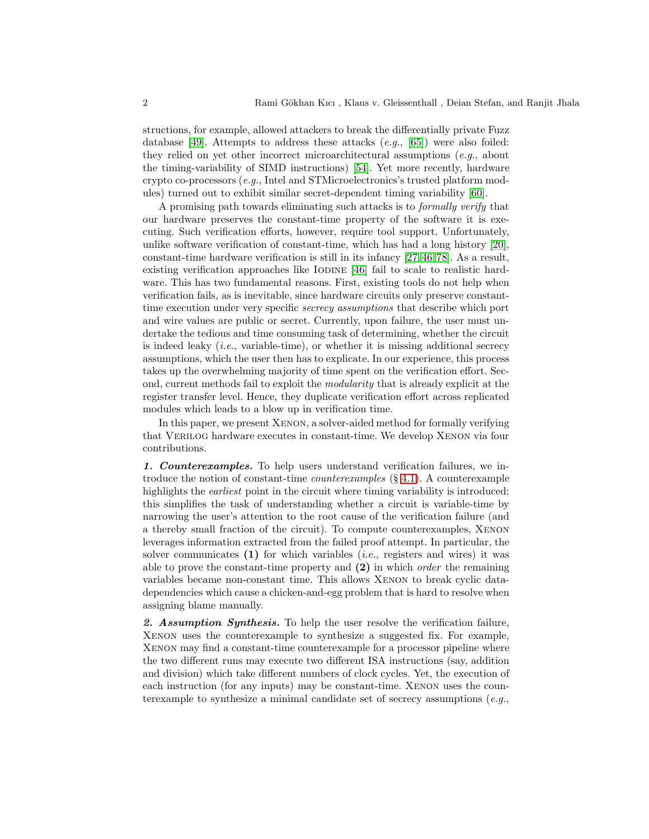structions, for example, allowed attackers to break the differentially private Fuzz database [\[49\]](#page-22-2). Attempts to address these attacks  $(e.g., [65])$  $(e.g., [65])$  $(e.g., [65])$  were also foiled: they relied on yet other incorrect microarchitectural assumptions  $(e.g.,$  about the timing-variability of SIMD instructions) [\[54\]](#page-22-1). Yet more recently, hardware crypto co-processors (e.g., Intel and STMicroelectronics's trusted platform modules) turned out to exhibit similar secret-dependent timing variability [\[60\]](#page-23-1).

A promising path towards eliminating such attacks is to formally verify that our hardware preserves the constant-time property of the software it is executing. Such verification efforts, however, require tool support. Unfortunately, unlike software verification of constant-time, which has had a long history [\[20\]](#page-20-4), constant-time hardware verification is still in its infancy [\[27,](#page-21-8) [46,](#page-22-3) [78\]](#page-24-2). As a result, existing verification approaches like IODINE  $[46]$  fail to scale to realistic hardware. This has two fundamental reasons. First, existing tools do not help when verification fails, as is inevitable, since hardware circuits only preserve constanttime execution under very specific *secrecy assumptions* that describe which port and wire values are public or secret. Currently, upon failure, the user must undertake the tedious and time consuming task of determining, whether the circuit is indeed leaky  $(i.e., variable-time)$ , or whether it is missing additional secrecy assumptions, which the user then has to explicate. In our experience, this process takes up the overwhelming majority of time spent on the verification effort. Second, current methods fail to exploit the modularity that is already explicit at the register transfer level. Hence, they duplicate verification effort across replicated modules which leads to a blow up in verification time.

In this paper, we present Xenon, a solver-aided method for formally verifying that Verilog hardware executes in constant-time. We develop Xenon via four contributions.

1. Counterexamples. To help users understand verification failures, we introduce the notion of constant-time *counterexamples*  $(\S 4.1)$  $(\S 4.1)$ . A counterexample highlights the *earliest* point in the circuit where timing variability is introduced; this simplifies the task of understanding whether a circuit is variable-time by narrowing the user's attention to the root cause of the verification failure (and a thereby small fraction of the circuit). To compute counterexamples, Xenon leverages information extracted from the failed proof attempt. In particular, the solver communicates  $(1)$  for which variables (*i.e.*, registers and wires) it was able to prove the constant-time property and  $(2)$  in which *order* the remaining variables became non-constant time. This allows Xenon to break cyclic datadependencies which cause a chicken-and-egg problem that is hard to resolve when assigning blame manually.

2. Assumption Synthesis. To help the user resolve the verification failure, Xenon uses the counterexample to synthesize a suggested fix. For example, Xenon may find a constant-time counterexample for a processor pipeline where the two different runs may execute two different ISA instructions (say, addition and division) which take different numbers of clock cycles. Yet, the execution of each instruction (for any inputs) may be constant-time. XENON uses the counterexample to synthesize a minimal candidate set of secrecy assumptions  $(e.q.,$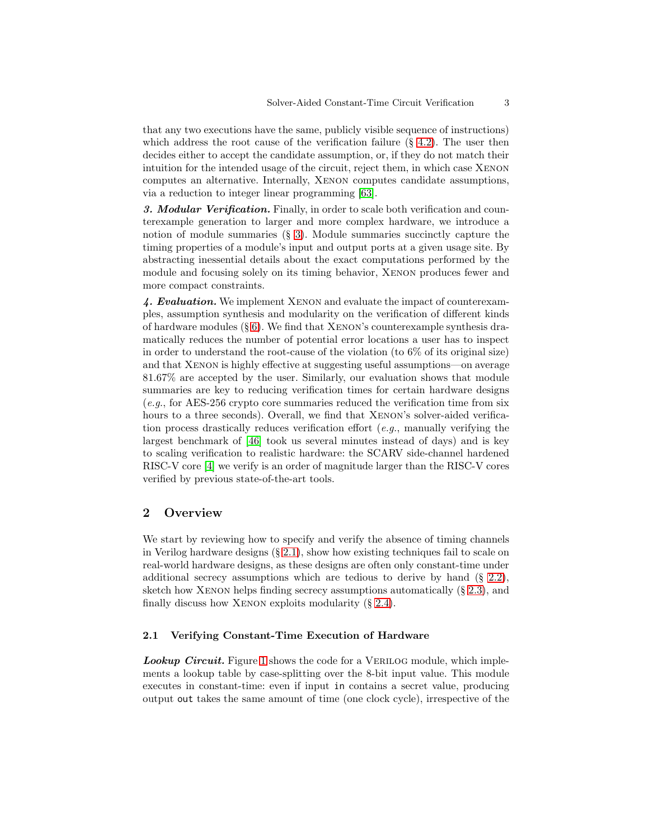that any two executions have the same, publicly visible sequence of instructions) which address the root cause of the verification failure  $(\S$  [4.2\)](#page-14-0). The user then decides either to accept the candidate assumption, or, if they do not match their intuition for the intended usage of the circuit, reject them, in which case Xenon computes an alternative. Internally, Xenon computes candidate assumptions, via a reduction to integer linear programming [\[63\]](#page-23-4).

3. Modular Verification. Finally, in order to scale both verification and counterexample generation to larger and more complex hardware, we introduce a notion of module summaries  $(\S$  [3\)](#page-8-0). Module summaries succinctly capture the timing properties of a module's input and output ports at a given usage site. By abstracting inessential details about the exact computations performed by the module and focusing solely on its timing behavior, Xenon produces fewer and more compact constraints.

4. Evaluation. We implement Xenon and evaluate the impact of counterexamples, assumption synthesis and modularity on the verification of different kinds of hardware modules  $(\S 6)$  $(\S 6)$ . We find that XENON's counterexample synthesis dramatically reduces the number of potential error locations a user has to inspect in order to understand the root-cause of the violation (to  $6\%$  of its original size) and that Xenon is highly effective at suggesting useful assumptions—on average 81.67% are accepted by the user. Similarly, our evaluation shows that module summaries are key to reducing verification times for certain hardware designs (e.g., for AES-256 crypto core summaries reduced the verification time from six hours to a three seconds). Overall, we find that XENON's solver-aided verification process drastically reduces verification effort (e.g., manually verifying the largest benchmark of [\[46\]](#page-22-3) took us several minutes instead of days) and is key to scaling verification to realistic hardware: the SCARV side-channel hardened RISC-V core [\[4\]](#page-20-5) we verify is an order of magnitude larger than the RISC-V cores verified by previous state-of-the-art tools.

## 2 Overview

We start by reviewing how to specify and verify the absence of timing channels in Verilog hardware designs (§ [2.1\)](#page-2-0), show how existing techniques fail to scale on real-world hardware designs, as these designs are often only constant-time under additional secrecy assumptions which are tedious to derive by hand (§ [2.2\)](#page-4-0), sketch how XENON helps finding secrecy assumptions automatically  $(8, 2.3)$  $(8, 2.3)$ , and finally discuss how XENON exploits modularity  $(\S 2.4)$  $(\S 2.4)$ .

#### <span id="page-2-0"></span>2.1 Verifying Constant-Time Execution of Hardware

Lookup Circuit. Figure [1](#page-3-0) shows the code for a VERILOG module, which implements a lookup table by case-splitting over the 8-bit input value. This module executes in constant-time: even if input in contains a secret value, producing output out takes the same amount of time (one clock cycle), irrespective of the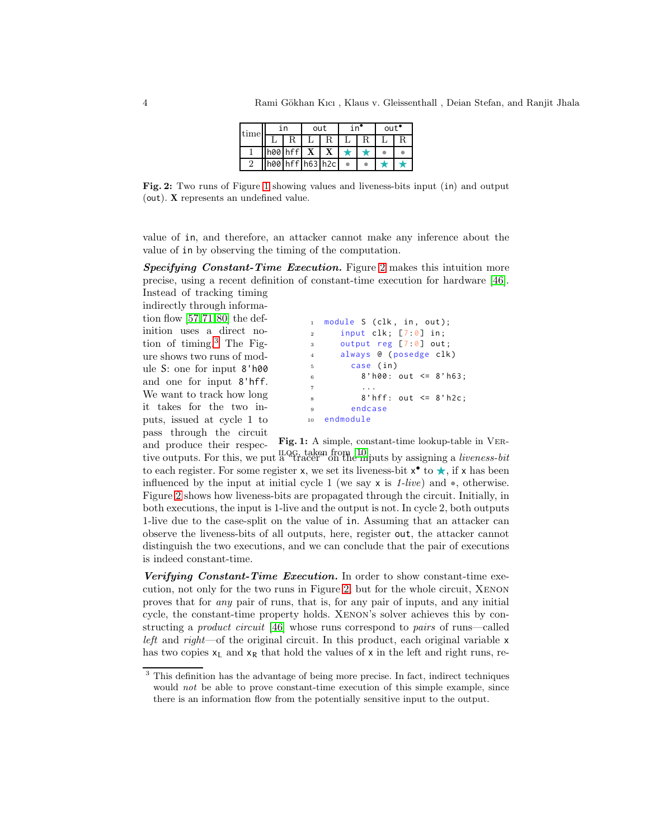| time | ın |                 | out | in" | out' |  |  |
|------|----|-----------------|-----|-----|------|--|--|
|      |    |                 |     |     |      |  |  |
|      |    | h00 hff         |     |     |      |  |  |
|      |    | h00 hff h63 h2c |     |     |      |  |  |

<span id="page-3-1"></span>Fig. 2: Two runs of Figure [1](#page-3-0) showing values and liveness-bits input (in) and output (out). X represents an undefined value.

value of in, and therefore, an attacker cannot make any inference about the value of in by observing the timing of the computation.

Specifying Constant-Time Execution. Figure [2](#page-3-1) makes this intuition more precise, using a recent definition of constant-time execution for hardware [\[46\]](#page-22-3). Instead of tracking timing

indirectly through information flow [\[57,](#page-22-4)[71,](#page-23-5)[80\]](#page-24-3) the definition uses a direct notion of timing.[3](#page-3-2) The Figure shows two runs of module S: one for input 8'h00 and one for input 8'hff. We want to track how long it takes for the two inputs, issued at cycle 1 to pass through the circuit

```
1 module S (clk, in, out);
\frac{1}{2} input clk; [7:0] in;
3 output reg [7:0] out ;
4 always @ ( posedge clk )
5 case ( in )
6 8' h00: out \leq 8' h63;
\overline{7} ...
8' hff: out \leq 8' h2c;
9 endcase
10 endmodule
```
Fig. 1: A simple, constant-time lookup-table in Vertive outputs. For this, we put a "tracer" on the inputs by assigning a *liveness-bit* and produce their respecto each register. For some register x, we set its liveness-bit  $x^{\bullet}$  to  $\star$ , if x has been influenced by the input at initial cycle 1 (we say  $x$  is 1-live) and  $\bullet$ , otherwise. Figure [2](#page-3-1) shows how liveness-bits are propagated through the circuit. Initially, in both executions, the input is 1-live and the output is not. In cycle 2, both outputs 1-live due to the case-split on the value of in. Assuming that an attacker can observe the liveness-bits of all outputs, here, register out, the attacker cannot distinguish the two executions, and we can conclude that the pair of executions is indeed constant-time.

Verifying Constant-Time Execution. In order to show constant-time execution, not only for the two runs in Figure [2,](#page-3-1) but for the whole circuit, Xenon proves that for any pair of runs, that is, for any pair of inputs, and any initial cycle, the constant-time property holds. Xenon's solver achieves this by constructing a product circuit [\[46\]](#page-22-3) whose runs correspond to pairs of runs—called left and right—of the original circuit. In this product, each original variable  $x$ has two copies  $x_L$  and  $x_R$  that hold the values of x in the left and right runs, re-

<span id="page-3-2"></span><sup>&</sup>lt;sup>3</sup> This definition has the advantage of being more precise. In fact, indirect techniques would not be able to prove constant-time execution of this simple example, since there is an information flow from the potentially sensitive input to the output.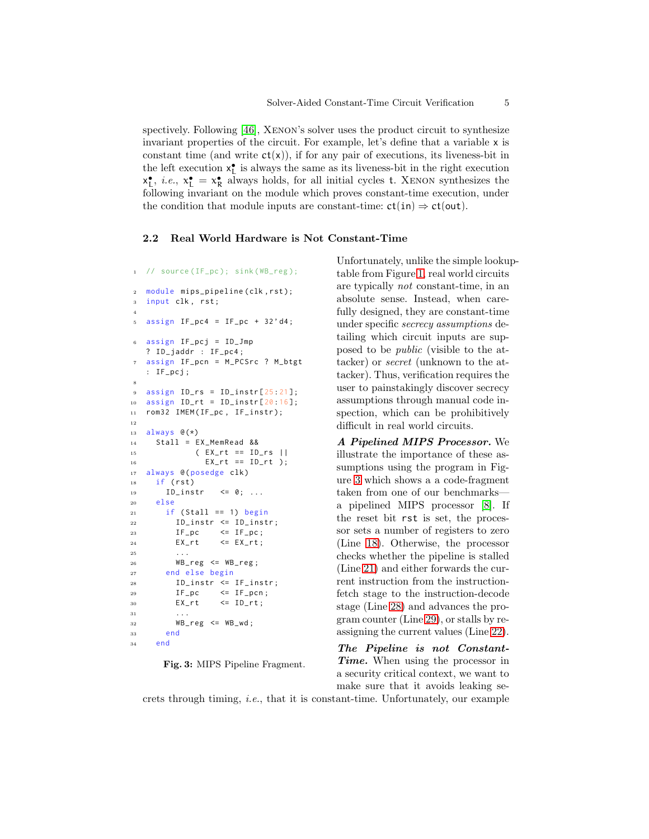spectively. Following [\[46\]](#page-22-3), Xenon's solver uses the product circuit to synthesize invariant properties of the circuit. For example, let's define that a variable x is constant time (and write  $ct(x)$ ), if for any pair of executions, its liveness-bit in the left execution  $\mathsf{x}_\mathsf{L}^\bullet$  is always the same as its liveness-bit in the right execution  $x_L^{\bullet}$ , *i.e.*,  $x_L^{\bullet} = x_R^{\bullet}$  always holds, for all initial cycles t. XENON synthesizes the following invariant on the module which proves constant-time execution, under the condition that module inputs are constant-time:  $ct(in) \Rightarrow ct(out)$ .

#### <span id="page-4-7"></span><span id="page-4-0"></span>2.2 Real World Hardware is Not Constant-Time

```
1 // source (IF_pc); sink (WB_reg);
2 module mips_pipeline(clk, rst);
3 input clk, rst;
4
5 assign IF_pc4 = IF_pc + 32'd4;
6 assign IF_pcj = ID_Jmp
  ? ID_jaddr : IF_pc4 ;
  assign IF_pcn = M_PCSrc ? M_btgt
  : IF_pcj ;
8
9 assign ID_rs = ID_instr[25:21];
10 assign ID_rt = ID_instr[20:16];
11 rom32 IMEM (IF_pc, IF_instr);
12
13 always \mathcal{C}(*)14 Stall = EX_MemRead &&
15 ( EX_rt == ID_rs ||
16 EX_{-}rt = ID_{-}rt );
17 always @ (posedge clk)
18 if (rst)19 ID_instr \leq 0; ...
20 else
21 if (Stall == 1) begin
22 ID_instr <= ID_instr ;
23 IF_pc \leq IF_pc;
24 EX_rt <= EX_rt;
25 . . .
26 WB_reg \leq WB_reg;
27 end else begin
28 ID_instr <= IF_instr ;
29 IF_pc \leq IF_pcn;
30 EX rt \leq ID rt :
31 ...
32 WB_reg \leq WB_wd;
33 end
34 end
```
<span id="page-4-6"></span><span id="page-4-5"></span><span id="page-4-4"></span><span id="page-4-3"></span><span id="page-4-2"></span>Fig. 3: MIPS Pipeline Fragment.

Unfortunately, unlike the simple lookuptable from Figure [1,](#page-3-0) real world circuits are typically not constant-time, in an absolute sense. Instead, when carefully designed, they are constant-time under specific secrecy assumptions detailing which circuit inputs are supposed to be public (visible to the attacker) or secret (unknown to the attacker). Thus, verification requires the user to painstakingly discover secrecy assumptions through manual code inspection, which can be prohibitively difficult in real world circuits.

A Pipelined MIPS Processor. We illustrate the importance of these assumptions using the program in Figure [3](#page-4-1) which shows a a code-fragment taken from one of our benchmarks a pipelined MIPS processor [\[8\]](#page-20-7). If the reset bit rst is set, the processor sets a number of registers to zero (Line [18\)](#page-4-2). Otherwise, the processor checks whether the pipeline is stalled (Line [21\)](#page-4-3) and either forwards the current instruction from the instructionfetch stage to the instruction-decode stage (Line [28\)](#page-4-4) and advances the program counter (Line [29\)](#page-4-5), or stalls by reassigning the current values (Line [22\)](#page-4-6).

The Pipeline is not Constant-Time. When using the processor in a security critical context, we want to make sure that it avoids leaking se-

crets through timing, i.e., that it is constant-time. Unfortunately, our example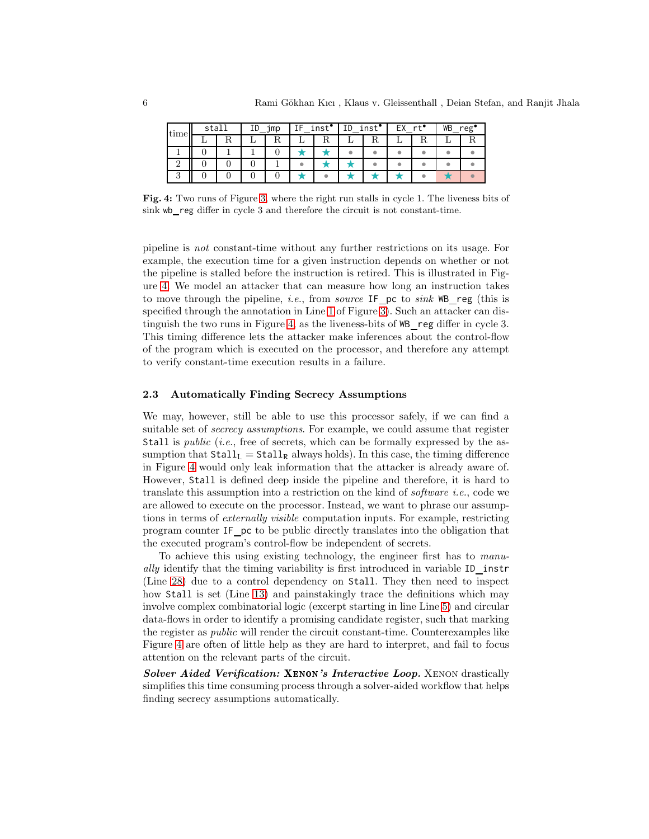<span id="page-5-1"></span>

| stall<br>time |  | ID<br>_jmp |  | inst <sup>•</sup> |  | inst <sup>•</sup><br>ΙD |  | $r +$ |  | WВ<br>reg' |  |  |
|---------------|--|------------|--|-------------------|--|-------------------------|--|-------|--|------------|--|--|
|               |  |            |  | πu                |  | ււ                      |  |       |  |            |  |  |
|               |  |            |  |                   |  |                         |  |       |  |            |  |  |
|               |  |            |  |                   |  |                         |  |       |  |            |  |  |
|               |  |            |  |                   |  |                         |  |       |  |            |  |  |

Fig. 4: Two runs of Figure [3,](#page-4-1) where the right run stalls in cycle 1. The liveness bits of sink wb reg differ in cycle 3 and therefore the circuit is not constant-time.

pipeline is not constant-time without any further restrictions on its usage. For example, the execution time for a given instruction depends on whether or not the pipeline is stalled before the instruction is retired. This is illustrated in Figure [4.](#page-5-1) We model an attacker that can measure how long an instruction takes to move through the pipeline, i.e., from source IF pc to sink WB reg (this is specified through the annotation in Line [1](#page-4-7) of Figure [3\)](#page-4-1). Such an attacker can distinguish the two runs in Figure [4,](#page-5-1) as the liveness-bits of WB reg differ in cycle 3. This timing difference lets the attacker make inferences about the control-flow of the program which is executed on the processor, and therefore any attempt to verify constant-time execution results in a failure.

#### <span id="page-5-0"></span>2.3 Automatically Finding Secrecy Assumptions

We may, however, still be able to use this processor safely, if we can find a suitable set of *secrecy assumptions*. For example, we could assume that register Stall is *public* (*i.e.*, free of secrets, which can be formally expressed by the assumption that  $Stall_{L} = Stall_{R}$  always holds). In this case, the timing difference in Figure [4](#page-5-1) would only leak information that the attacker is already aware of. However, Stall is defined deep inside the pipeline and therefore, it is hard to translate this assumption into a restriction on the kind of *software i.e.*, code we are allowed to execute on the processor. Instead, we want to phrase our assumptions in terms of externally visible computation inputs. For example, restricting program counter IF pc to be public directly translates into the obligation that the executed program's control-flow be independent of secrets.

To achieve this using existing technology, the engineer first has to manually identify that the timing variability is first introduced in variable ID instr (Line [28\)](#page-4-4) due to a control dependency on Stall. They then need to inspect how Stall is set (Line [13\)](#page-4-8) and painstakingly trace the definitions which may involve complex combinatorial logic (excerpt starting in line Line [5\)](#page-4-9) and circular data-flows in order to identify a promising candidate register, such that marking the register as public will render the circuit constant-time. Counterexamples like Figure [4](#page-5-1) are often of little help as they are hard to interpret, and fail to focus attention on the relevant parts of the circuit.

Solver Aided Verification: XENON's Interactive Loop. XENON drastically simplifies this time consuming process through a solver-aided workflow that helps finding secrecy assumptions automatically.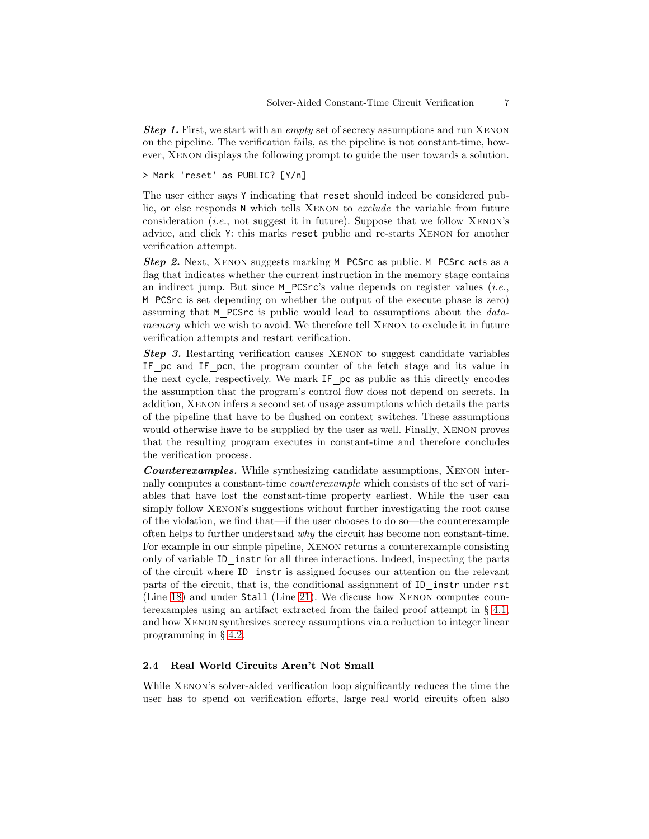**Step 1.** First, we start with an *empty* set of secrecy assumptions and run XENON on the pipeline. The verification fails, as the pipeline is not constant-time, however, Xenon displays the following prompt to guide the user towards a solution.

> Mark 'reset' as PUBLIC? [Y/n]

The user either says Y indicating that reset should indeed be considered public, or else responds N which tells Xenon to exclude the variable from future consideration (*i.e.*, not suggest it in future). Suppose that we follow  $XENON's$ advice, and click Y: this marks reset public and re-starts Xenon for another verification attempt.

Step 2. Next, XENON suggests marking M\_PCSrc as public. M\_PCSrc acts as a flag that indicates whether the current instruction in the memory stage contains an indirect jump. But since  $M$  PCSrc's value depends on register values (*i.e.*, M PCSrc is set depending on whether the output of the execute phase is zero) assuming that M PCSrc is public would lead to assumptions about the datamemory which we wish to avoid. We therefore tell XENON to exclude it in future verification attempts and restart verification.

Step 3. Restarting verification causes XENON to suggest candidate variables IF pc and IF pcn, the program counter of the fetch stage and its value in the next cycle, respectively. We mark IF pc as public as this directly encodes the assumption that the program's control flow does not depend on secrets. In addition, Xenon infers a second set of usage assumptions which details the parts of the pipeline that have to be flushed on context switches. These assumptions would otherwise have to be supplied by the user as well. Finally, Xenon proves that the resulting program executes in constant-time and therefore concludes the verification process.

Counterexamples. While synthesizing candidate assumptions, Xenon internally computes a constant-time counterexample which consists of the set of variables that have lost the constant-time property earliest. While the user can simply follow Xenon's suggestions without further investigating the root cause of the violation, we find that—if the user chooses to do so—the counterexample often helps to further understand why the circuit has become non constant-time. For example in our simple pipeline, Xenon returns a counterexample consisting only of variable ID instr for all three interactions. Indeed, inspecting the parts of the circuit where ID\_instr is assigned focuses our attention on the relevant parts of the circuit, that is, the conditional assignment of ID instr under rst (Line [18\)](#page-4-2) and under Stall (Line [21\)](#page-4-3). We discuss how Xenon computes counterexamples using an artifact extracted from the failed proof attempt in  $\S$  [4.1,](#page-11-0) and how Xenon synthesizes secrecy assumptions via a reduction to integer linear programming in § [4.2.](#page-14-0)

#### <span id="page-6-0"></span>2.4 Real World Circuits Aren't Not Small

While Xenon's solver-aided verification loop significantly reduces the time the user has to spend on verification efforts, large real world circuits often also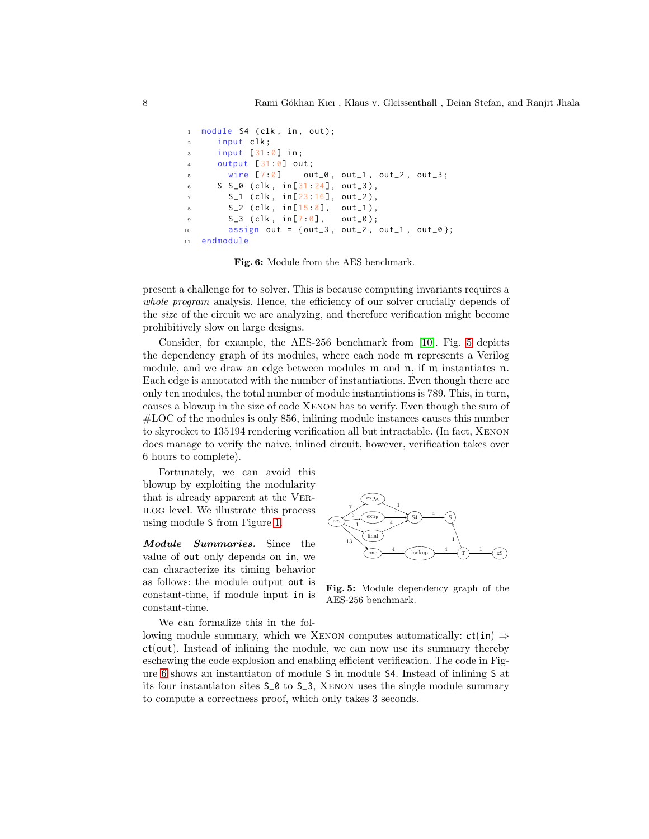```
module S4 ( clk, in, out);
2 input clk;
3 input [31 :0] in ;
     output [31:0] out;
       wire [7:0] out_0, out_1, out_2, out_3;
6 S S_0 ( clk, in[31:24], out_3),
7 \quad S_1 \text{ (clk, in[23:16], out_2)},8 S_2 (clk, in [15:8], out_1),
9 S_3 (clk, in[7:0], out_0);
10 assign out = {out_3, out_2, out_1, out_0};
11 endmodule
```
Fig. 6: Module from the AES benchmark.

present a challenge for to solver. This is because computing invariants requires a whole program analysis. Hence, the efficiency of our solver crucially depends of the size of the circuit we are analyzing, and therefore verification might become prohibitively slow on large designs.

Consider, for example, the AES-256 benchmark from [\[10\]](#page-20-6). Fig. [5](#page-7-0) depicts the dependency graph of its modules, where each node m represents a Verilog module, and we draw an edge between modules  $m$  and  $n$ , if  $m$  instantiates  $n$ . Each edge is annotated with the number of instantiations. Even though there are only ten modules, the total number of module instantiations is 789. This, in turn, causes a blowup in the size of code Xenon has to verify. Even though the sum of #LOC of the modules is only 856, inlining module instances causes this number to skyrocket to 135194 rendering verification all but intractable. (In fact, Xenon does manage to verify the naive, inlined circuit, however, verification takes over 6 hours to complete).

Fortunately, we can avoid this blowup by exploiting the modularity that is already apparent at the Verilog level. We illustrate this process using module S from Figure [1.](#page-3-0)

Module Summaries. Since the value of out only depends on in, we can characterize its timing behavior as follows: the module output out is constant-time, if module input in is constant-time.

We can formalize this in the fol-

<span id="page-7-0"></span>

Fig. 5: Module dependency graph of the AES-256 benchmark.

lowing module summary, which we XENON computes automatically:  $ct(in) \Rightarrow$ ct(out). Instead of inlining the module, we can now use its summary thereby eschewing the code explosion and enabling efficient verification. The code in Figure [6](#page-7-1) shows an instantiaton of module S in module S4. Instead of inlining S at its four instantiaton sites S\_0 to S\_3, Xenon uses the single module summary to compute a correctness proof, which only takes 3 seconds.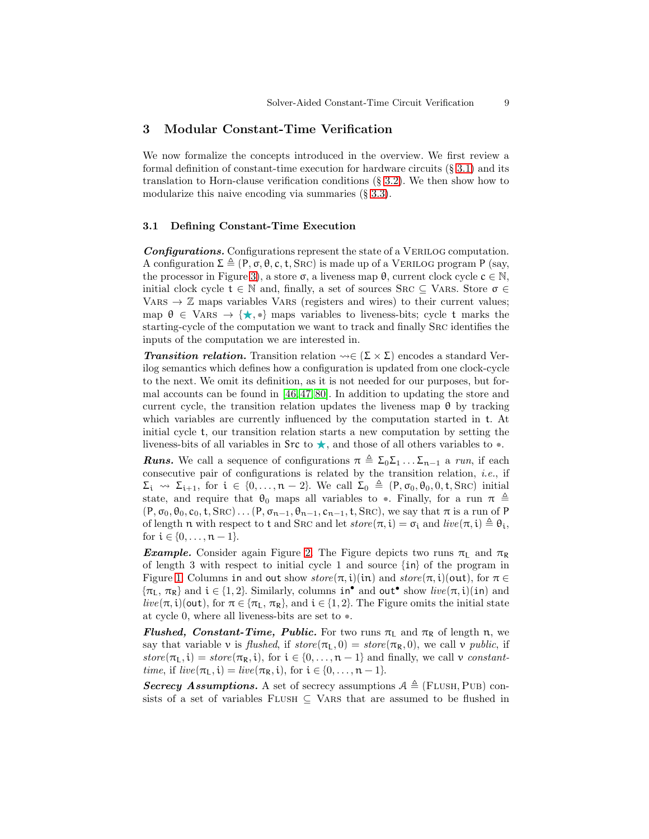### <span id="page-8-0"></span>3 Modular Constant-Time Verification

We now formalize the concepts introduced in the overview. We first review a formal definition of constant-time execution for hardware circuits (§ [3.1\)](#page-8-1) and its translation to Horn-clause verification conditions (§ [3.2\)](#page-9-0). We then show how to modularize this naive encoding via summaries (§ [3.3\)](#page-10-0).

#### <span id="page-8-1"></span>3.1 Defining Constant-Time Execution

Configurations. Configurations represent the state of a VERILOG computation. A configuration  $\Sigma \triangleq (P, \sigma, \theta, c, t, \text{SRC})$  is made up of a VERILOG program P (say, the processor in Figure [3\)](#page-4-1), a store  $\sigma$ , a liveness map  $\theta$ , current clock cycle  $c \in \mathbb{N}$ . initial clock cycle  $t \in \mathbb{N}$  and, finally, a set of sources SRC  $\subseteq$  VARS. Store  $\sigma \in$ VARS  $\rightarrow \mathbb{Z}$  maps variables VARS (registers and wires) to their current values; map  $\theta \in \text{VARS} \rightarrow \{\star, \bullet\}$  maps variables to liveness-bits; cycle t marks the starting-cycle of the computation we want to track and finally Src identifies the inputs of the computation we are interested in.

**Transition relation.** Transition relation  $\rightsquigarrow \in (\Sigma \times \Sigma)$  encodes a standard Verilog semantics which defines how a configuration is updated from one clock-cycle to the next. We omit its definition, as it is not needed for our purposes, but formal accounts can be found in [\[46,](#page-22-3) [47,](#page-22-5) [80\]](#page-24-3). In addition to updating the store and current cycle, the transition relation updates the liveness map  $\theta$  by tracking which variables are currently influenced by the computation started in t. At initial cycle t, our transition relation starts a new computation by setting the liveness-bits of all variables in  $\text{Src}$  to  $\star$ , and those of all others variables to  $\bullet$ .

**Runs.** We call a sequence of configurations  $\pi \triangleq \Sigma_0 \Sigma_1 \dots \Sigma_{n-1}$  a run, if each consecutive pair of configurations is related by the transition relation, i.e., if  $\Sigma_i \leadsto \Sigma_{i+1}$ , for  $i \in \{0, \ldots, n-2\}$ . We call  $\Sigma_0 \triangleq (P, \sigma_0, \theta_0, 0, t, \text{SRC})$  initial state, and require that  $\theta_0$  maps all variables to •. Finally, for a run  $\pi \triangleq$  $(P, \sigma_0, \theta_0, c_0, t, \text{SRC}) \dots (P, \sigma_{n-1}, \theta_{n-1}, c_{n-1}, t, \text{SRC})$ , we say that  $\pi$  is a run of P of length n with respect to t and SRC and let  $store(\pi, i) = \sigma_i$  and  $live(\pi, i) \triangleq \theta_i$ , for  $i \in \{0, ..., n-1\}$ .

**Example.** Consider again Figure [2.](#page-3-1) The Figure depicts two runs  $\pi_L$  and  $\pi_R$ of length 3 with respect to initial cycle 1 and source {in} of the program in Figure [1.](#page-3-0) Columns in and out show  $store(\pi,i)(in)$  and  $store(\pi,i)(out)$ , for  $\pi \in$  $\{\pi_L, \pi_R\}$  and  $i \in \{1, 2\}$ . Similarly, columns  $in^{\bullet}$  and  $out^{\bullet}$  show  $live(\pi, i)(in)$  and live( $\pi$ , i)(out), for  $\pi \in {\pi_L, \pi_R}$ , and  $i \in {1, 2}$ . The Figure omits the initial state at cycle 0, where all liveness-bits are set to •.

**Flushed, Constant-Time, Public.** For two runs  $\pi_L$  and  $\pi_R$  of length n, we say that variable v is flushed, if  $store(\pi_L, 0) = store(\pi_R, 0)$ , we call v *public*, if store $(\pi_L, i) = store(\pi_R, i)$ , for  $i \in \{0, ..., n-1\}$  and finally, we call v constant*time*, if  $live(\pi_L, i) = live(\pi_R, i)$ , for  $i \in \{0, ..., n-1\}$ .

Secrecy Assumptions. A set of secrecy assumptions  $A \triangleq$  (FLUSH, PUB) consists of a set of variables FLUSH  $\subseteq$  VARS that are assumed to be flushed in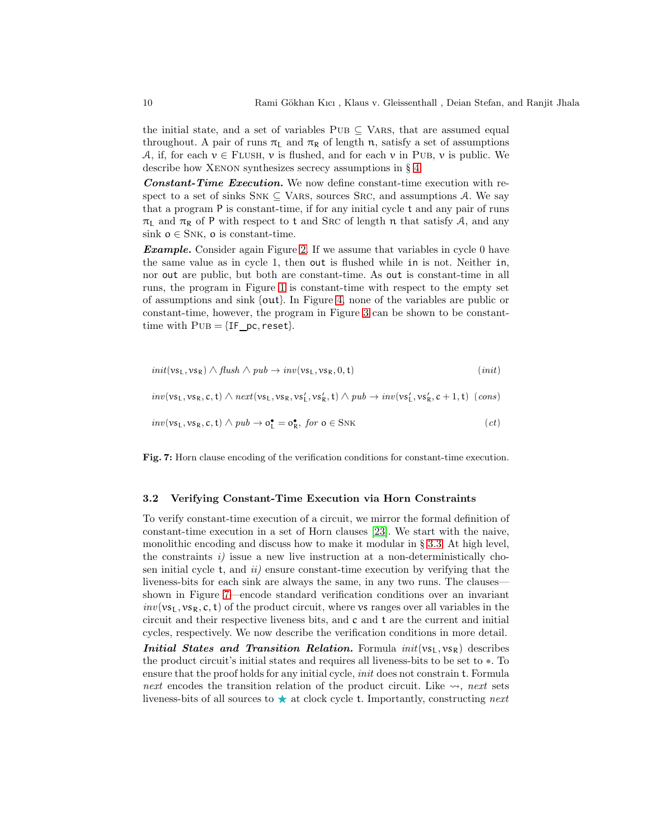the initial state, and a set of variables  $PUB \subseteq VARS$ , that are assumed equal throughout. A pair of runs  $\pi_L$  and  $\pi_R$  of length n, satisfy a set of assumptions A, if, for each  $v \in$  FLUSH, v is flushed, and for each v in PUB, v is public. We describe how XENON synthesizes secrecy assumptions in § [4.](#page-11-1)

Constant-Time Execution. We now define constant-time execution with respect to a set of sinks  $SNK \subseteq VARS$ , sources SRC, and assumptions A. We say that a program P is constant-time, if for any initial cycle t and any pair of runs  $\pi_L$  and  $\pi_R$  of P with respect to t and SRC of length n that satisfy A, and any sink  $o \in SNK$ , o is constant-time.

**Example.** Consider again Figure [2.](#page-3-1) If we assume that variables in cycle 0 have the same value as in cycle 1, then out is flushed while in is not. Neither in, nor out are public, but both are constant-time. As out is constant-time in all runs, the program in Figure [1](#page-3-0) is constant-time with respect to the empty set of assumptions and sink {out}. In Figure [4,](#page-5-1) none of the variables are public or constant-time, however, the program in Figure [3](#page-4-1) can be shown to be constanttime with  $PUB = {IF \, pc, reset}.$ 

<span id="page-9-1"></span>
$$
init(\mathsf{vs}_\mathsf{L},\mathsf{vs}_\mathsf{R}) \wedge \mathit{fush} \wedge \mathit{pub} \rightarrow inv(\mathsf{vs}_\mathsf{L},\mathsf{vs}_\mathsf{R},0,\mathsf{t})
$$
\n
$$
(\mathit{init})
$$

 $\mathit{inv}(vs_L, vs_R, c, t) \land \mathit{next}(vs_L, vs_R, vs_L', vs_R', t) \land \mathit{pub} \rightarrow \mathit{inv}(vs_L', vs_R', c + 1, t) \ (\mathit{cons})$ 

$$
inv(vs_L, vs_R, c, t) \wedge pub \to o_L^{\bullet} = o_R^{\bullet}, \text{ for } o \in \text{SNK} \tag{ct}
$$

Fig. 7: Horn clause encoding of the verification conditions for constant-time execution.

#### <span id="page-9-0"></span>3.2 Verifying Constant-Time Execution via Horn Constraints

To verify constant-time execution of a circuit, we mirror the formal definition of constant-time execution in a set of Horn clauses [\[23\]](#page-21-9). We start with the naive, monolithic encoding and discuss how to make it modular in § [3.3.](#page-10-0) At high level, the constraints  $i$ ) issue a new live instruction at a non-deterministically chosen initial cycle  $t$ , and  $ii$ ) ensure constant-time execution by verifying that the liveness-bits for each sink are always the same, in any two runs. The clauses shown in Figure [7—](#page-9-1)encode standard verification conditions over an invariant  $inv(v_{s_L}, v_{s_R}, c, t)$  of the product circuit, where vs ranges over all variables in the circuit and their respective liveness bits, and c and t are the current and initial cycles, respectively. We now describe the verification conditions in more detail. Initial States and Transition Relation. Formula  $init(\mathbf{vs}_1, \mathbf{vs}_R)$  describes the product circuit's initial states and requires all liveness-bits to be set to •. To ensure that the proof holds for any initial cycle, init does not constrain t. Formula

next encodes the transition relation of the product circuit. Like  $\rightsquigarrow$ , next sets liveness-bits of all sources to  $\star$  at clock cycle t. Importantly, constructing next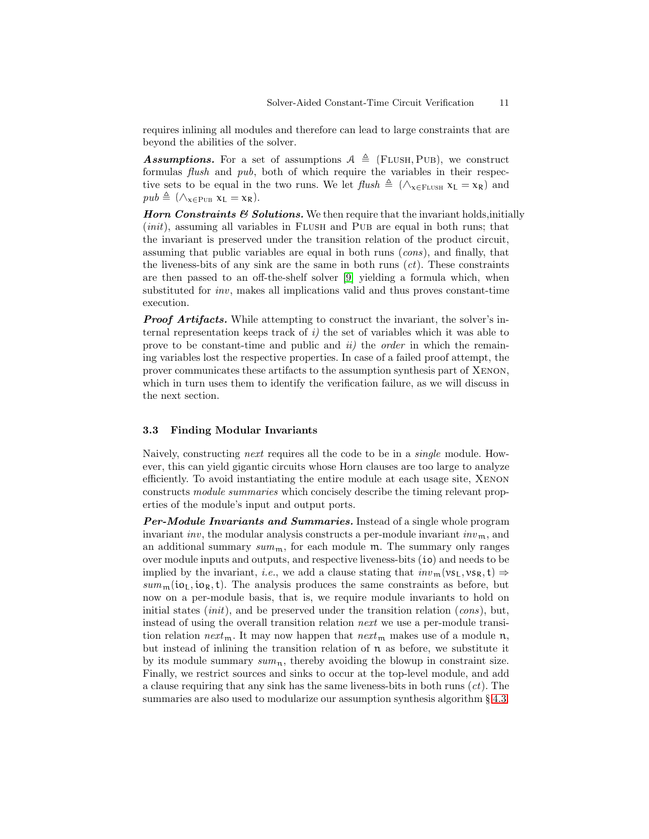requires inlining all modules and therefore can lead to large constraints that are beyond the abilities of the solver.

**Assumptions.** For a set of assumptions  $A \triangleq$  (FLUSH, PUB), we construct formulas *flush* and *pub*, both of which require the variables in their respective sets to be equal in the two runs. We let  $\text{ftush} \triangleq (\wedge_{x \in \text{FLUSH}} x_L = x_R)$  and  $pub \triangleq (\wedge_{\mathbf{x} \in \text{PUB}} \mathbf{x_L} = \mathbf{x_R}).$ 

Horn Constraints  $\mathcal C$  Solutions. We then require that the invariant holds, initially (*init*), assuming all variables in FLUSH and PUB are equal in both runs; that the invariant is preserved under the transition relation of the product circuit, assuming that public variables are equal in both runs (cons), and finally, that the liveness-bits of any sink are the same in both runs  $(ct)$ . These constraints are then passed to an off-the-shelf solver [\[9\]](#page-20-8) yielding a formula which, when substituted for inv, makes all implications valid and thus proves constant-time execution.

**Proof Artifacts.** While attempting to construct the invariant, the solver's internal representation keeps track of  $i$ ) the set of variables which it was able to prove to be constant-time and public and  $ii$ ) the *order* in which the remaining variables lost the respective properties. In case of a failed proof attempt, the prover communicates these artifacts to the assumption synthesis part of Xenon, which in turn uses them to identify the verification failure, as we will discuss in the next section.

### <span id="page-10-0"></span>3.3 Finding Modular Invariants

Naively, constructing next requires all the code to be in a single module. However, this can yield gigantic circuits whose Horn clauses are too large to analyze efficiently. To avoid instantiating the entire module at each usage site, Xenon constructs module summaries which concisely describe the timing relevant properties of the module's input and output ports.

**Per-Module Invariants and Summaries.** Instead of a single whole program invariant inv, the modular analysis constructs a per-module invariant  $inv_{m}$ , and an additional summary  $sum_{m}$ , for each module m. The summary only ranges over module inputs and outputs, and respective liveness-bits (io) and needs to be implied by the invariant, *i.e.*, we add a clause stating that  $inv_{m}(vs_{I}, vs_{R}, t) \Rightarrow$  $sum_{m}$  (io<sub>I</sub>, io<sub>R</sub>, t). The analysis produces the same constraints as before, but now on a per-module basis, that is, we require module invariants to hold on initial states  $(int)$ , and be preserved under the transition relation  $(cons)$ , but, instead of using the overall transition relation next we use a per-module transition relation next<sub>m</sub>. It may now happen that next<sub>m</sub> makes use of a module n, but instead of inlining the transition relation of  $\pi$  as before, we substitute it by its module summary  $sum_n$ , thereby avoiding the blowup in constraint size. Finally, we restrict sources and sinks to occur at the top-level module, and add a clause requiring that any sink has the same liveness-bits in both runs  $(ct)$ . The summaries are also used to modularize our assumption synthesis algorithm  $\S 4.3$ .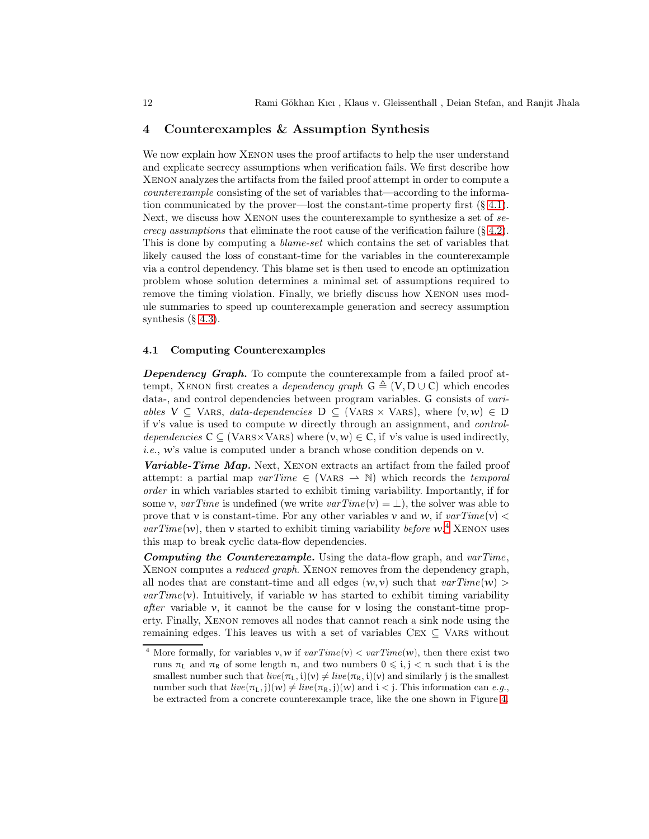### <span id="page-11-1"></span>4 Counterexamples & Assumption Synthesis

We now explain how XENON uses the proof artifacts to help the user understand and explicate secrecy assumptions when verification fails. We first describe how Xenon analyzes the artifacts from the failed proof attempt in order to compute a counterexample consisting of the set of variables that—according to the information communicated by the prover—lost the constant-time property first  $(\S 4.1)$  $(\S 4.1)$ . Next, we discuss how XENON uses the counterexample to synthesize a set of secrecy assumptions that eliminate the root cause of the verification failure  $(\S 4.2)$  $(\S 4.2)$ . This is done by computing a *blame-set* which contains the set of variables that likely caused the loss of constant-time for the variables in the counterexample via a control dependency. This blame set is then used to encode an optimization problem whose solution determines a minimal set of assumptions required to remove the timing violation. Finally, we briefly discuss how Xenon uses module summaries to speed up counterexample generation and secrecy assumption synthesis  $(\S 4.3)$  $(\S 4.3)$ .

### <span id="page-11-0"></span>4.1 Computing Counterexamples

Dependency Graph. To compute the counterexample from a failed proof attempt, XENON first creates a *dependency graph*  $G \triangleq (V, D \cup C)$  which encodes data-, and control dependencies between program variables. G consists of variables  $V \subseteq$  VARS, data-dependencies  $D \subseteq$  (VARS  $\times$  VARS), where  $(v, w) \in D$ if  $v$ 's value is used to compute w directly through an assignment, and *control*dependencies  $C \subseteq (VARS \times VARS)$  where  $(v, w) \in C$ , if v's value is used indirectly, *i.e.*, w's value is computed under a branch whose condition depends on  $\nu$ .

Variable-Time Map. Next, XENON extracts an artifact from the failed proof attempt: a partial map  $varTime \in (VARS \rightarrow N)$  which records the temporal order in which variables started to exhibit timing variability. Importantly, if for some v,  $varTime$  is undefined (we write  $varTime(v) = \perp$ ), the solver was able to prove that v is constant-time. For any other variables v and w, if  $varTime(v)$  <  $varTime(w)$ , then v started to exhibit timing variability before w.<sup>[4](#page-11-2)</sup> XENON uses this map to break cyclic data-flow dependencies.

**Computing the Counterexample.** Using the data-flow graph, and  $varTime$ . Xenon computes a reduced graph. Xenon removes from the dependency graph, all nodes that are constant-time and all edges  $(w, v)$  such that  $varTime(w) >$  $varTime(v)$ . Intuitively, if variable w has started to exhibit timing variability after variable v, it cannot be the cause for v losing the constant-time property. Finally, Xenon removes all nodes that cannot reach a sink node using the remaining edges. This leaves us with a set of variables  $Cex \subseteq VARS$  without

<span id="page-11-2"></span><sup>&</sup>lt;sup>4</sup> More formally, for variables v, w if  $varTime(v) < varTime(w)$ , then there exist two runs  $\pi_L$  and  $\pi_R$  of some length n, and two numbers  $0 \leq i, j \leq n$  such that i is the smallest number such that  $live(\pi_L, i)(v) \neq live(\pi_R, i)(v)$  and similarly j is the smallest number such that  $live(\pi_L, j)(w) \neq live(\pi_R, j)(w)$  and  $i < j$ . This information can e.g., be extracted from a concrete counterexample trace, like the one shown in Figure [4.](#page-5-1)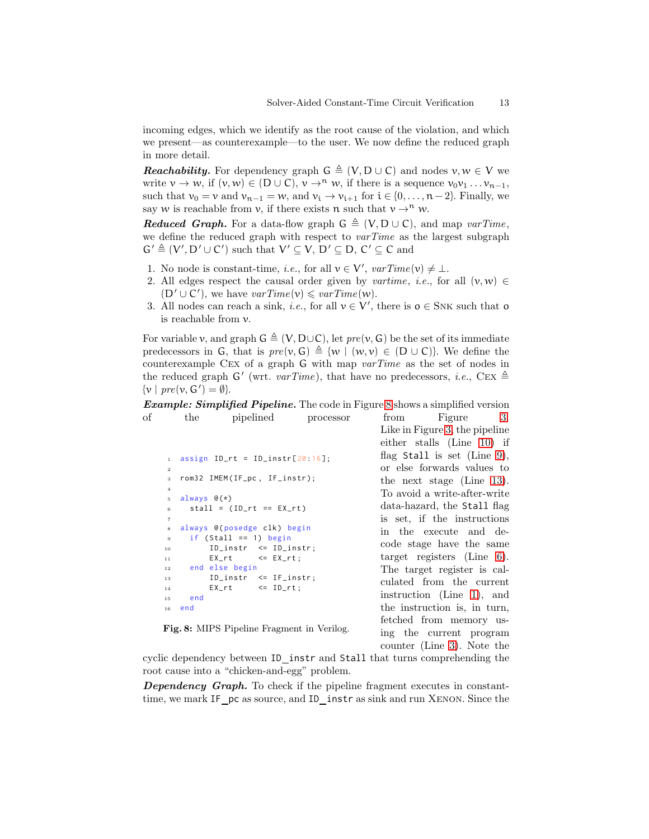incoming edges, which we identify as the root cause of the violation, and which we present—as counterexample—to the user. We now define the reduced graph in more detail.

**Reachability.** For dependency graph  $G \triangleq (V, D \cup C)$  and nodes  $v, w \in V$  we write  $v \to w$ , if  $(v, w) \in (D \cup C), v \to^n w$ , if there is a sequence  $v_0v_1 \dots v_{n-1}$ , such that  $v_0 = v$  and  $v_{n-1} = w$ , and  $v_i \to v_{i+1}$  for  $i \in \{0, ..., n-2\}$ . Finally, we say w is reachable from v, if there exists n such that  $v \rightarrow^n w$ .

**Reduced Graph.** For a data-flow graph  $G \triangleq (V, D \cup C)$ , and map varTime, we define the reduced graph with respect to  $varTime$  as the largest subgraph  $G' \triangleq (V', D' \cup C')$  such that  $V' \subseteq V$ ,  $D' \subseteq D$ ,  $C' \subseteq C$  and

- 1. No node is constant-time, *i.e.*, for all  $v \in V'$ ,  $varTime(v) \neq \bot$ .
- 2. All edges respect the causal order given by vartime, i.e., for all  $(v, w) \in$  $(D' \cup C')$ , we have  $varTime(v) \leq varTime(w)$ .
- 3. All nodes can reach a sink, *i.e.*, for all  $v \in V'$ , there is  $o \in SNK$  such that o is reachable from v.

For variable v, and graph  $G \triangleq (V, D \cup C)$ , let  $pre(v, G)$  be the set of its immediate predecessors in G, that is  $pre(v, G) \triangleq \{w \mid (w, v) \in (D \cup C)\}\)$ . We define the counterexample Cex of a graph G with map varTime as the set of nodes in the reduced graph G' (wrt.  $varTime$ ), that have no predecessors, *i.e.*, CEX  $\triangleq$  $\{v \mid pre(v, G') = \emptyset\}.$ 

**Example: Simplified Pipeline.** The code in Figure [8](#page-12-0) shows a simplified version of the pipelined processor from Figure [3.](#page-4-1)

```
1 assign ID_r t = ID_instr[20:16];2
3 rom32 IMEM (IF_pc, IF_instr);
4
5 always \mathcal{C}(*)stall = (ID_r t == EX_r t)7
  always @ (posedge clk) begin
9 if (Stall == 1) begin
10 ID\_instr \le ID\_instr;11 EX_rt <= EX_rt;
12 end else begin
13 ID_instr <= IF_instr;
14 EX_rt \leq ID_rt;
15 end
16 end
```
Like in Figure [3,](#page-4-1) the pipeline either stalls (Line [10\)](#page-12-1) if flag Stall is set (Line [9\)](#page-12-2), or else forwards values to the next stage (Line [13\)](#page-12-3). To avoid a write-after-write data-hazard, the Stall flag is set, if the instructions in the execute and decode stage have the same target registers (Line [6\)](#page-12-4). The target register is calculated from the current instruction (Line [1\)](#page-12-5), and the instruction is, in turn, fetched from memory using the current program counter (Line [3\)](#page-12-6). Note the

<span id="page-12-3"></span><span id="page-12-2"></span><span id="page-12-1"></span>Fig. 8: MIPS Pipeline Fragment in Verilog.

cyclic dependency between ID instr and Stall that turns comprehending the root cause into a "chicken-and-egg" problem.

Dependency Graph. To check if the pipeline fragment executes in constanttime, we mark IF pc as source, and ID instr as sink and run XENON. Since the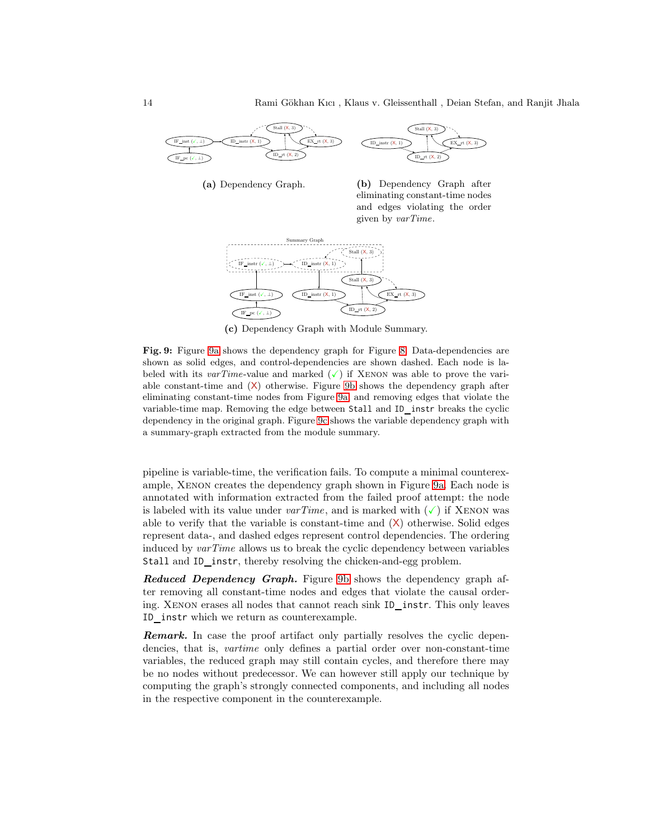<span id="page-13-0"></span>

<span id="page-13-2"></span>(a) Dependency Graph.

<span id="page-13-1"></span>



(c) Dependency Graph with Module Summary.

Fig. 9: Figure [9a](#page-13-0) shows the dependency graph for Figure [8.](#page-12-0) Data-dependencies are shown as solid edges, and control-dependencies are shown dashed. Each node is labeled with its varTime-value and marked  $(\checkmark)$  if XENON was able to prove the variable constant-time and (X) otherwise. Figure [9b](#page-13-1) shows the dependency graph after eliminating constant-time nodes from Figure [9a,](#page-13-0) and removing edges that violate the variable-time map. Removing the edge between Stall and ID instr breaks the cyclic dependency in the original graph. Figure [9c](#page-13-2) shows the variable dependency graph with a summary-graph extracted from the module summary.

pipeline is variable-time, the verification fails. To compute a minimal counterexample, Xenon creates the dependency graph shown in Figure [9a.](#page-13-0) Each node is annotated with information extracted from the failed proof attempt: the node is labeled with its value under  $varTime$ , and is marked with  $(\checkmark)$  if XENON was able to verify that the variable is constant-time and  $(X)$  otherwise. Solid edges represent data-, and dashed edges represent control dependencies. The ordering induced by varTime allows us to break the cyclic dependency between variables Stall and ID\_instr, thereby resolving the chicken-and-egg problem.

Reduced Dependency Graph. Figure [9b](#page-13-1) shows the dependency graph after removing all constant-time nodes and edges that violate the causal ordering. Xenon erases all nodes that cannot reach sink ID instr. This only leaves ID instr which we return as counterexample.

Remark. In case the proof artifact only partially resolves the cyclic dependencies, that is, vartime only defines a partial order over non-constant-time variables, the reduced graph may still contain cycles, and therefore there may be no nodes without predecessor. We can however still apply our technique by computing the graph's strongly connected components, and including all nodes in the respective component in the counterexample.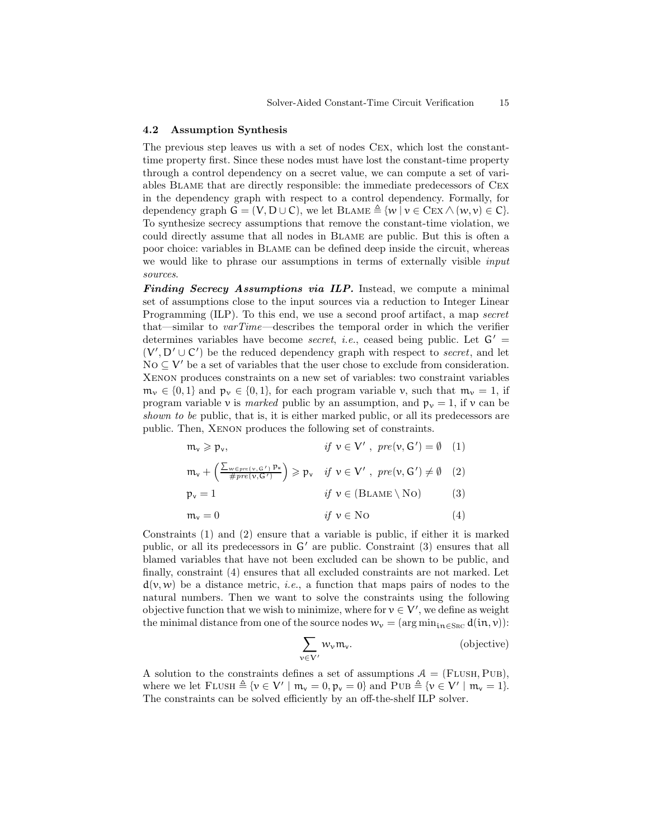#### <span id="page-14-0"></span>4.2 Assumption Synthesis

The previous step leaves us with a set of nodes Cex, which lost the constanttime property first. Since these nodes must have lost the constant-time property through a control dependency on a secret value, we can compute a set of variables Blame that are directly responsible: the immediate predecessors of Cex in the dependency graph with respect to a control dependency. Formally, for dependency graph  $G = (V, D \cup C)$ , we let  $B\text{LAME} \triangleq \{w \mid v \in \text{Cex} \land (w, v) \in C\}.$ To synthesize secrecy assumptions that remove the constant-time violation, we could directly assume that all nodes in Blame are public. But this is often a poor choice: variables in Blame can be defined deep inside the circuit, whereas we would like to phrase our assumptions in terms of externally visible input sources.

Finding Secrecy Assumptions via ILP. Instead, we compute a minimal set of assumptions close to the input sources via a reduction to Integer Linear Programming (ILP). To this end, we use a second proof artifact, a map secret that—similar to varTime—describes the temporal order in which the verifier determines variables have become *secret, i.e.*, ceased being public. Let  $G' =$  $(V', D' \cup C')$  be the reduced dependency graph with respect to *secret*, and let No  $\subseteq$  V' be a set of variables that the user chose to exclude from consideration. Xenon produces constraints on a new set of variables: two constraint variables  $m_{\nu} \in \{0, 1\}$  and  $p_{\nu} \in \{0, 1\}$ , for each program variable v, such that  $m_{\nu} = 1$ , if program variable v is marked public by an assumption, and  $p_v = 1$ , if v can be shown to be public, that is, it is either marked public, or all its predecessors are public. Then, Xenon produces the following set of constraints.

$$
m_{\nu} \geqslant p_{\nu}, \qquad \qquad \text{if } \nu \in V' \text{ , } pre(\nu, G') = \emptyset \quad (1)
$$

$$
m_{\nu} + \left(\frac{\sum_{w \in pre(\nu, G')} p_w}{\# pre(\nu, G')} \right) \geqslant p_{\nu} \quad \text{if } \nu \in V' \text{ , } pre(\nu, G') \neq \emptyset \quad (2)
$$
  

$$
p_{\nu} = 1 \qquad \qquad \text{if } \nu \in (\text{BLAME} \setminus \text{No}) \tag{3}
$$

$$
m_v = 0 \t\t if \t v \in No \t\t(4)
$$

Constraints (1) and (2) ensure that a variable is public, if either it is marked public, or all its predecessors in G′ are public. Constraint (3) ensures that all blamed variables that have not been excluded can be shown to be public, and finally, constraint (4) ensures that all excluded constraints are not marked. Let  $d(v, w)$  be a distance metric, *i.e.*, a function that maps pairs of nodes to the natural numbers. Then we want to solve the constraints using the following objective function that we wish to minimize, where for  $v \in V'$ , we define as weight the minimal distance from one of the source nodes  $w_v = (\arg \min_{i \in S_{RC}} d(in, v))$ :

$$
\sum_{v \in V'} w_v \mathfrak{m}_v. \tag{objective}
$$

A solution to the constraints defines a set of assumptions  $A = (FLUSH, PUB)$ , where we let  $FLUSH \triangleq \{v \in V' \mid m_v = 0, p_v = 0\}$  and  $PUB \triangleq \{v \in V' \mid m_v = 1\}.$ The constraints can be solved efficiently by an off-the-shelf ILP solver.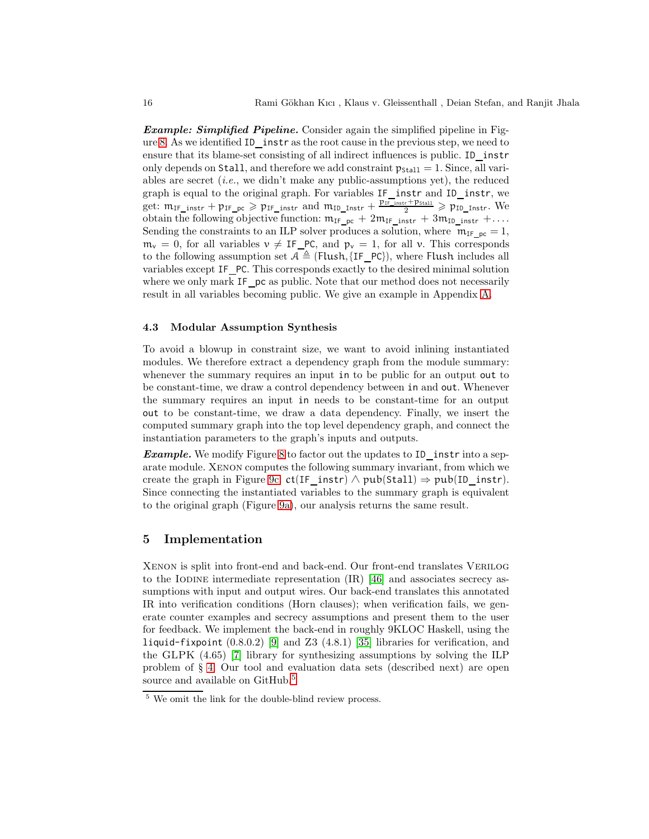**Example: Simplified Pipeline.** Consider again the simplified pipeline in Fig-ure [8.](#page-12-0) As we identified ID\_instr as the root cause in the previous step, we need to ensure that its blame-set consisting of all indirect influences is public. ID\_instr only depends on Stall, and therefore we add constraint  $p_{\text{Stall}} = 1$ . Since, all variables are secret  $(i.e.,$  we didn't make any public-assumptions yet), the reduced graph is equal to the original graph. For variables IF instr and ID instr, we get:  $m_{IF\_instr} + p_{IF\_pc} \geqslant p_{IF\_instr}$  and  $m_{ID\_Instr} + \frac{p_{IF\_instr} + p_{Stall}}{2} \geqslant p_{ID\_Instr}$ . We obtain the following objective function:  $m_{IF\_pc} + 2m_{IF\_instr} + 3m_{ID\_instr} + ...$ Sending the constraints to an ILP solver produces a solution, where  $m_{IF}$   $_{pc} = 1$ ,  $m_v = 0$ , for all variables  $v \neq I\mathsf{F}_P$ C, and  $p_v = 1$ , for all v. This corresponds to the following assumption set  $A \triangleq$  (Flush, {IF PC}), where Flush includes all variables except IF PC. This corresponds exactly to the desired minimal solution where we only mark IF pc as public. Note that our method does not necessarily result in all variables becoming public. We give an example in Appendix [A.](#page-25-0)

#### <span id="page-15-0"></span>4.3 Modular Assumption Synthesis

To avoid a blowup in constraint size, we want to avoid inlining instantiated modules. We therefore extract a dependency graph from the module summary: whenever the summary requires an input in to be public for an output out to be constant-time, we draw a control dependency between in and out. Whenever the summary requires an input in needs to be constant-time for an output out to be constant-time, we draw a data dependency. Finally, we insert the computed summary graph into the top level dependency graph, and connect the instantiation parameters to the graph's inputs and outputs.

**Example.** We modify Figure [8](#page-12-0) to factor out the updates to ID instrinto a separate module. Xenon computes the following summary invariant, from which we create the graph in Figure [9c:](#page-13-2)  $ct(IF \; instr) \wedge pub(Stall) \Rightarrow pub(ID \; instr).$ Since connecting the instantiated variables to the summary graph is equivalent to the original graph (Figure [9a\)](#page-13-0), our analysis returns the same result.

### 5 Implementation

Xenon is split into front-end and back-end. Our front-end translates Verilog to the IODINE intermediate representation  $\{IR\}$  [\[46\]](#page-22-3) and associates secrecy assumptions with input and output wires. Our back-end translates this annotated IR into verification conditions (Horn clauses); when verification fails, we generate counter examples and secrecy assumptions and present them to the user for feedback. We implement the back-end in roughly 9KLOC Haskell, using the liquid-fixpoint  $(0.8.0.2)$  [\[9\]](#page-20-8) and Z3  $(4.8.1)$  [\[35\]](#page-21-10) libraries for verification, and the GLPK (4.65) [\[7\]](#page-20-9) library for synthesizing assumptions by solving the ILP problem of § [4.](#page-11-1) Our tool and evaluation data sets (described next) are open source and available on GitHub.<sup>[5](#page-15-1)</sup>

<span id="page-15-1"></span><sup>5</sup> We omit the link for the double-blind review process.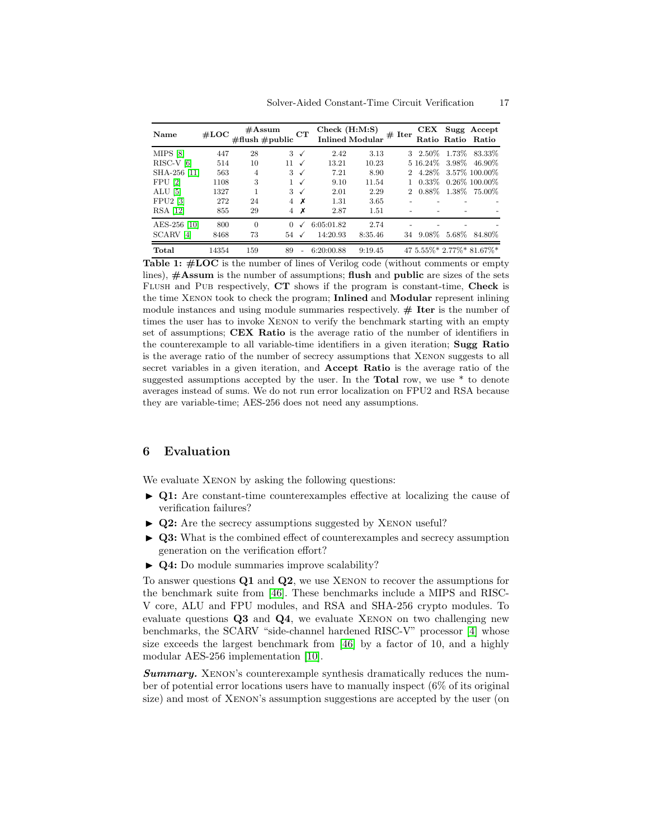<span id="page-16-1"></span>

| Name                 | #LOC  | $\#\text{Assum}$<br>$\#\text{flush}\,\#\text{public}$ |                 | CT           | Check(H:M:S) | Inlined Modular # Iter |             |          | CEX Sugg Accept<br>Ratio Ratio Ratio |
|----------------------|-------|-------------------------------------------------------|-----------------|--------------|--------------|------------------------|-------------|----------|--------------------------------------|
| MIPS [8]             | 447   | 28                                                    | $3\checkmark$   |              | 2.42         | 3.13                   |             |          | 3 2.50% 1.73% 83.33%                 |
| $RISC-V[6]$          | 514   | 10                                                    | 11 $\checkmark$ |              | 13.21        | 10.23                  |             |          | 5 16.24\% 3.98\% 46.90\%             |
| SHA-256 [11]         | 563   | 4                                                     | $3\checkmark$   |              | 7.21         | 8.90                   | $2^{\circ}$ |          | 4.28\% 3.57\% 100.00\%               |
| FPU [2]              | 1108  | 3                                                     | $\mathbf{1}$    | $\checkmark$ | 9.10         | 11.54                  |             |          | $0.33\%$ 0.26\% 100.00\%             |
| $ALU$ [5]            | 1327  |                                                       | $3\checkmark$   |              | 2.01         | 2.29                   |             |          | 2 0.88% 1.38% 75.00%                 |
| $FPU2$ [3]           | 272   | 24                                                    | $4 \times$      |              | 1.31         | 3.65                   |             |          |                                      |
| <b>RSA</b> [12]      | 855   | 29                                                    | 4               | х            | 2.87         | 1.51                   |             |          |                                      |
| AES-256 [10]         | 800   | $\Omega$                                              | $\Omega$        |              | 6:05:01.82   | 2.74                   |             |          |                                      |
| SCARV <sup>[4]</sup> | 8468  | 73                                                    | $54\checkmark$  |              | 14:20.93     | 8:35.46                | 34          | $9.08\%$ | 5.68\% 84.80\%                       |
| Total                | 14354 | 159                                                   | 89              |              | 6:20:00.88   | 9:19.45                |             |          | 47 5.55%* 2.77%* 81.67%*             |

Table 1: #LOC is the number of lines of Verilog code (without comments or empty lines), #Assum is the number of assumptions; flush and public are sizes of the sets Flush and Pub respectively, CT shows if the program is constant-time, Check is the time Xenon took to check the program; Inlined and Modular represent inlining module instances and using module summaries respectively.  $#$  Iter is the number of times the user has to invoke Xenon to verify the benchmark starting with an empty set of assumptions; CEX Ratio is the average ratio of the number of identifiers in the counterexample to all variable-time identifiers in a given iteration; Sugg Ratio is the average ratio of the number of secrecy assumptions that Xenon suggests to all secret variables in a given iteration, and Accept Ratio is the average ratio of the suggested assumptions accepted by the user. In the Total row, we use \* to denote averages instead of sums. We do not run error localization on FPU2 and RSA because they are variable-time; AES-256 does not need any assumptions.

## <span id="page-16-0"></span>6 Evaluation

We evaluate XENON by asking the following questions:

- ▶ Q1: Are constant-time counterexamples effective at localizing the cause of verification failures?
- ▶ Q2: Are the secrecy assumptions suggested by XENON useful?
- ► Q3: What is the combined effect of counterexamples and secrecy assumption generation on the verification effort?
- ▶ **Q4:** Do module summaries improve scalability?

To answer questions Q1 and Q2, we use Xenon to recover the assumptions for the benchmark suite from [\[46\]](#page-22-3). These benchmarks include a MIPS and RISC-V core, ALU and FPU modules, and RSA and SHA-256 crypto modules. To evaluate questions Q3 and Q4, we evaluate Xenon on two challenging new benchmarks, the SCARV "side-channel hardened RISC-V" processor [\[4\]](#page-20-5) whose size exceeds the largest benchmark from [\[46\]](#page-22-3) by a factor of 10, and a highly modular AES-256 implementation [\[10\]](#page-20-6).

**Summary.** XENON's counterexample synthesis dramatically reduces the number of potential error locations users have to manually inspect (6% of its original size) and most of Xenon's assumption suggestions are accepted by the user (on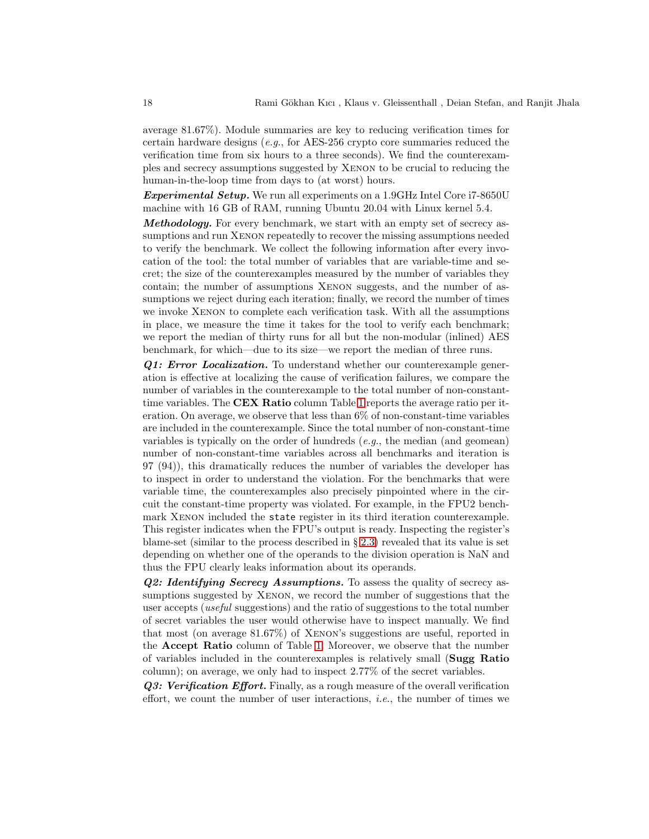average 81.67%). Module summaries are key to reducing verification times for certain hardware designs (e.g., for AES-256 crypto core summaries reduced the verification time from six hours to a three seconds). We find the counterexamples and secrecy assumptions suggested by Xenon to be crucial to reducing the human-in-the-loop time from days to (at worst) hours.

**Experimental Setup.** We run all experiments on a 1.9GHz Intel Core i7-8650U machine with 16 GB of RAM, running Ubuntu 20.04 with Linux kernel 5.4.

Methodology. For every benchmark, we start with an empty set of secrecy assumptions and run XENON repeatedly to recover the missing assumptions needed to verify the benchmark. We collect the following information after every invocation of the tool: the total number of variables that are variable-time and secret; the size of the counterexamples measured by the number of variables they contain; the number of assumptions Xenon suggests, and the number of assumptions we reject during each iteration; finally, we record the number of times we invoke Xenon to complete each verification task. With all the assumptions in place, we measure the time it takes for the tool to verify each benchmark; we report the median of thirty runs for all but the non-modular (inlined) AES benchmark, for which—due to its size—we report the median of three runs.

Q1: Error Localization. To understand whether our counterexample generation is effective at localizing the cause of verification failures, we compare the number of variables in the counterexample to the total number of non-constanttime variables. The **CEX Ratio** column Table [1](#page-16-1) reports the average ratio per iteration. On average, we observe that less than  $6\%$  of non-constant-time variables are included in the counterexample. Since the total number of non-constant-time variables is typically on the order of hundreds  $(e.g., the median (and genomean)$ number of non-constant-time variables across all benchmarks and iteration is 97 (94)), this dramatically reduces the number of variables the developer has to inspect in order to understand the violation. For the benchmarks that were variable time, the counterexamples also precisely pinpointed where in the circuit the constant-time property was violated. For example, in the FPU2 benchmark Xenon included the state register in its third iteration counterexample. This register indicates when the FPU's output is ready. Inspecting the register's blame-set (similar to the process described in § [2.3\)](#page-5-0) revealed that its value is set depending on whether one of the operands to the division operation is NaN and thus the FPU clearly leaks information about its operands.

**Q2: Identifying Secrecy Assumptions.** To assess the quality of secrecy assumptions suggested by XENON, we record the number of suggestions that the user accepts (useful suggestions) and the ratio of suggestions to the total number of secret variables the user would otherwise have to inspect manually. We find that most (on average 81.67%) of Xenon's suggestions are useful, reported in the Accept Ratio column of Table [1.](#page-16-1) Moreover, we observe that the number of variables included in the counterexamples is relatively small (Sugg Ratio column); on average, we only had to inspect 2.77% of the secret variables.

Q3: Verification Effort. Finally, as a rough measure of the overall verification effort, we count the number of user interactions, *i.e.*, the number of times we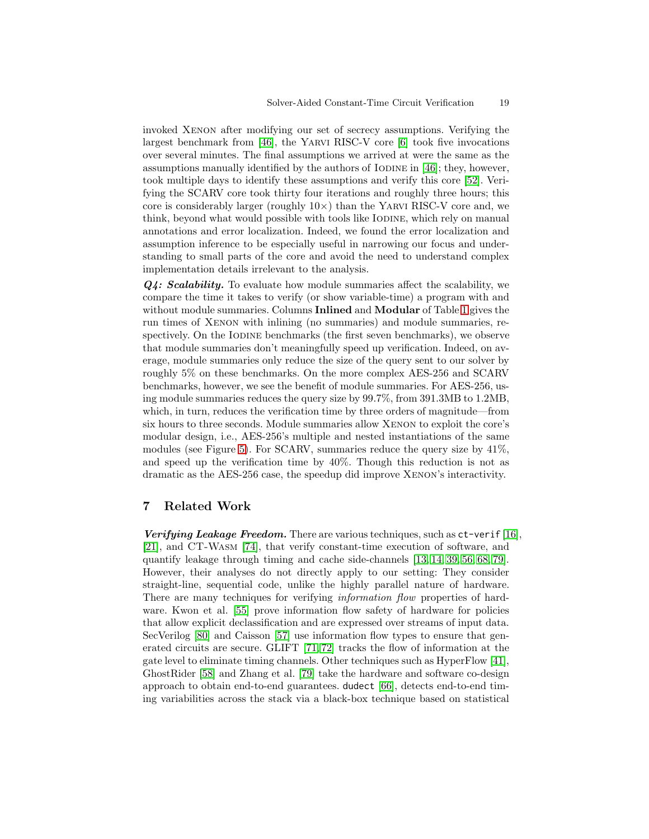invoked Xenon after modifying our set of secrecy assumptions. Verifying the largest benchmark from [\[46\]](#page-22-3), the Yarvi RISC-V core [\[6\]](#page-20-10) took five invocations over several minutes. The final assumptions we arrived at were the same as the assumptions manually identified by the authors of IODINE in  $[46]$ ; they, however, took multiple days to identify these assumptions and verify this core [\[52\]](#page-22-6). Verifying the SCARV core took thirty four iterations and roughly three hours; this core is considerably larger (roughly  $10\times$ ) than the YARVI RISC-V core and, we think, beyond what would possible with tools like IODINE, which rely on manual annotations and error localization. Indeed, we found the error localization and assumption inference to be especially useful in narrowing our focus and understanding to small parts of the core and avoid the need to understand complex implementation details irrelevant to the analysis.

Q4: Scalability. To evaluate how module summaries affect the scalability, we compare the time it takes to verify (or show variable-time) a program with and without module summaries. Columns **Inlined** and **Modular** of Table [1](#page-16-1) gives the run times of Xenon with inlining (no summaries) and module summaries, respectively. On the IODINE benchmarks (the first seven benchmarks), we observe that module summaries don't meaningfully speed up verification. Indeed, on average, module summaries only reduce the size of the query sent to our solver by roughly 5% on these benchmarks. On the more complex AES-256 and SCARV benchmarks, however, we see the benefit of module summaries. For AES-256, using module summaries reduces the query size by 99.7%, from 391.3MB to 1.2MB, which, in turn, reduces the verification time by three orders of magnitude—from six hours to three seconds. Module summaries allow Xenon to exploit the core's modular design, i.e., AES-256's multiple and nested instantiations of the same modules (see Figure [5\)](#page-7-0). For SCARV, summaries reduce the query size by 41%, and speed up the verification time by 40%. Though this reduction is not as dramatic as the AES-256 case, the speedup did improve Xenon's interactivity.

# 7 Related Work

**Verifying Leakage Freedom.** There are various techniques, such as  $ct$ -verif [\[16\]](#page-20-16), [\[21\]](#page-21-5), and CT-Wasm [\[74\]](#page-23-6), that verify constant-time execution of software, and quantify leakage through timing and cache side-channels [\[13,](#page-20-17) [14,](#page-20-18) [39,](#page-22-7) [56,](#page-22-8) [68,](#page-23-7) [79\]](#page-24-4). However, their analyses do not directly apply to our setting: They consider straight-line, sequential code, unlike the highly parallel nature of hardware. There are many techniques for verifying *information flow* properties of hard-ware. Kwon et al. [\[55\]](#page-22-9) prove information flow safety of hardware for policies that allow explicit declassification and are expressed over streams of input data. SecVerilog [\[80\]](#page-24-3) and Caisson [\[57\]](#page-22-4) use information flow types to ensure that generated circuits are secure. GLIFT [\[71,](#page-23-5) [72\]](#page-23-8) tracks the flow of information at the gate level to eliminate timing channels. Other techniques such as HyperFlow [\[41\]](#page-22-10), GhostRider [\[58\]](#page-22-11) and Zhang et al. [\[79\]](#page-24-4) take the hardware and software co-design approach to obtain end-to-end guarantees. dudect [\[66\]](#page-23-9), detects end-to-end timing variabilities across the stack via a black-box technique based on statistical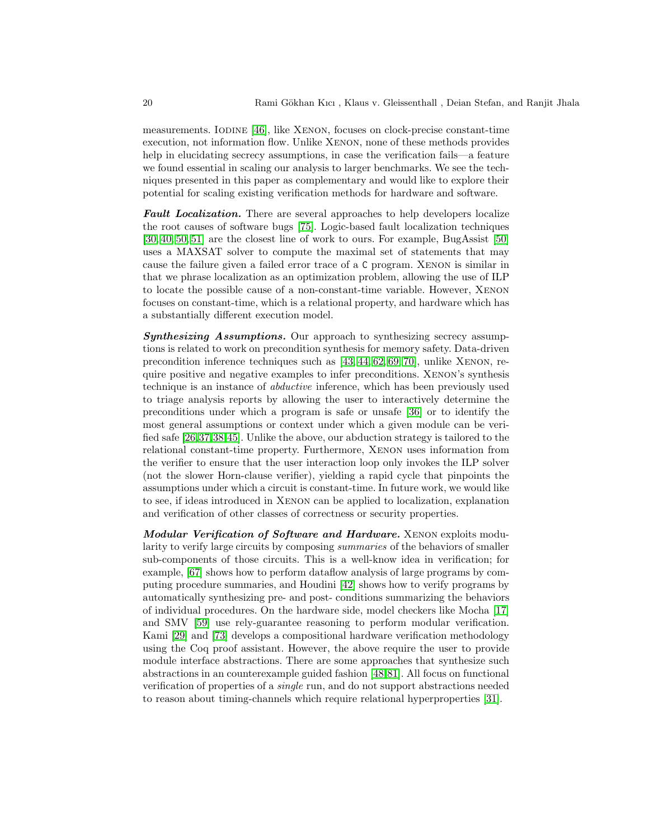measurements. Iodine [\[46\]](#page-22-3), like Xenon, focuses on clock-precise constant-time execution, not information flow. Unlike Xenon, none of these methods provides help in elucidating secrecy assumptions, in case the verification fails—a feature we found essential in scaling our analysis to larger benchmarks. We see the techniques presented in this paper as complementary and would like to explore their potential for scaling existing verification methods for hardware and software.

Fault Localization. There are several approaches to help developers localize the root causes of software bugs [\[75\]](#page-24-5). Logic-based fault localization techniques [\[30,](#page-21-11) [40,](#page-22-12) [50,](#page-22-13) [51\]](#page-22-14) are the closest line of work to ours. For example, BugAssist [\[50\]](#page-22-13) uses a MAXSAT solver to compute the maximal set of statements that may cause the failure given a failed error trace of a C program. Xenon is similar in that we phrase localization as an optimization problem, allowing the use of ILP to locate the possible cause of a non-constant-time variable. However, Xenon focuses on constant-time, which is a relational property, and hardware which has a substantially different execution model.

Synthesizing Assumptions. Our approach to synthesizing secrecy assumptions is related to work on precondition synthesis for memory safety. Data-driven precondition inference techniques such as [\[43,](#page-22-15) [44,](#page-22-16) [62,](#page-23-10) [69,](#page-23-11) [70\]](#page-23-12), unlike Xenon, require positive and negative examples to infer preconditions. Xenon's synthesis technique is an instance of abductive inference, which has been previously used to triage analysis reports by allowing the user to interactively determine the preconditions under which a program is safe or unsafe [\[36\]](#page-21-12) or to identify the most general assumptions or context under which a given module can be verified safe [\[26,](#page-21-13)[37,](#page-21-14)[38,](#page-22-17)[45\]](#page-22-18). Unlike the above, our abduction strategy is tailored to the relational constant-time property. Furthermore, Xenon uses information from the verifier to ensure that the user interaction loop only invokes the ILP solver (not the slower Horn-clause verifier), yielding a rapid cycle that pinpoints the assumptions under which a circuit is constant-time. In future work, we would like to see, if ideas introduced in Xenon can be applied to localization, explanation and verification of other classes of correctness or security properties.

Modular Verification of Software and Hardware. XENON exploits modularity to verify large circuits by composing summaries of the behaviors of smaller sub-components of those circuits. This is a well-know idea in verification; for example, [\[67\]](#page-23-13) shows how to perform dataflow analysis of large programs by computing procedure summaries, and Houdini [\[42\]](#page-22-19) shows how to verify programs by automatically synthesizing pre- and post- conditions summarizing the behaviors of individual procedures. On the hardware side, model checkers like Mocha [\[17\]](#page-20-19) and SMV [\[59\]](#page-23-14) use rely-guarantee reasoning to perform modular verification. Kami [\[29\]](#page-21-15) and [\[73\]](#page-23-15) develops a compositional hardware verification methodology using the Coq proof assistant. However, the above require the user to provide module interface abstractions. There are some approaches that synthesize such abstractions in an counterexample guided fashion [\[48,](#page-22-20)[81\]](#page-24-6). All focus on functional verification of properties of a single run, and do not support abstractions needed to reason about timing-channels which require relational hyperproperties [\[31\]](#page-21-16).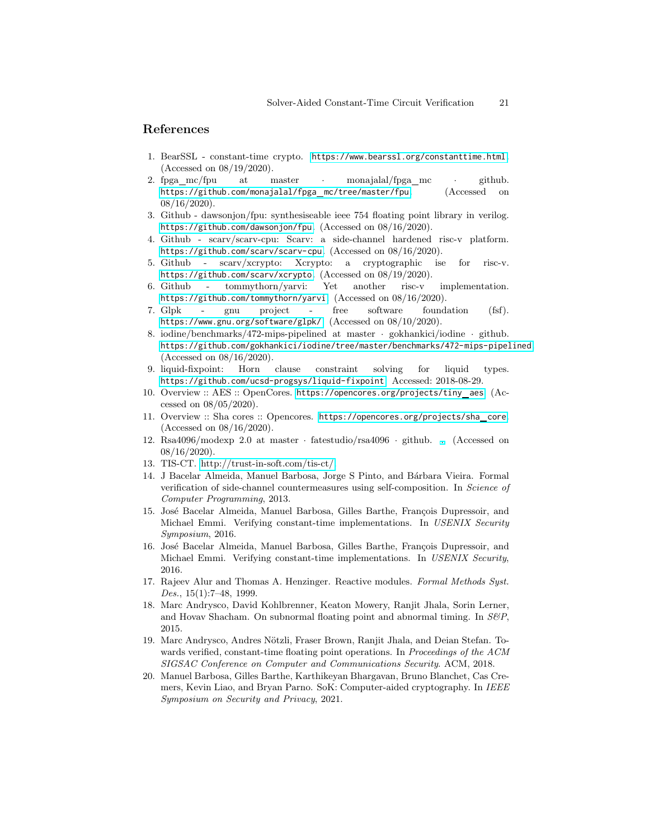### <span id="page-20-0"></span>References

- <span id="page-20-12"></span>1. BearSSL - constant-time crypto. <https://www.bearssl.org/constanttime.html>. (Accessed on 08/19/2020).
- 2. fpga\_mc/fpu at master · monajalal/fpga\_mc · github. [https://github.com/monajalal/fpga](https://github.com/monajalal/fpga_mc/tree/master/fpu) mc/tree/master/fpu. (Accessed on 08/16/2020).
- <span id="page-20-14"></span><span id="page-20-5"></span>3. Github - dawsonjon/fpu: synthesiseable ieee 754 floating point library in verilog. <https://github.com/dawsonjon/fpu>. (Accessed on 08/16/2020).
- 4. Github scarv/scarv-cpu: Scarv: a side-channel hardened risc-v platform. <https://github.com/scarv/scarv-cpu>. (Accessed on 08/16/2020).
- <span id="page-20-13"></span><span id="page-20-10"></span>5. Github - scarv/xcrypto: Xcrypto: a cryptographic ise for risc-v. <https://github.com/scarv/xcrypto>. (Accessed on 08/19/2020).
- 6. Github tommythorn/yarvi: Yet another risc-v implementation. <https://github.com/tommythorn/yarvi>. (Accessed on 08/16/2020).
- <span id="page-20-9"></span>7. Glpk - gnu project - free software foundation (fsf). <https://www.gnu.org/software/glpk/>. (Accessed on 08/10/2020).
- <span id="page-20-7"></span>8. iodine/benchmarks/472-mips-pipelined at master · gokhankici/iodine · github. <https://github.com/gokhankici/iodine/tree/master/benchmarks/472-mips-pipelined>. (Accessed on 08/16/2020).
- <span id="page-20-8"></span><span id="page-20-6"></span>9. liquid-fixpoint: Horn clause constraint solving for liquid types. <https://github.com/ucsd-progsys/liquid-fixpoint>. Accessed: 2018-08-29.
- 10. Overview :: AES :: OpenCores. [https://opencores.org/projects/tiny](https://opencores.org/projects/tiny_aes) aes. (Accessed on 08/05/2020).
- <span id="page-20-11"></span>11. Overview :: Sha cores :: Opencores. [https://opencores.org/projects/sha](https://opencores.org/projects/sha_core) core. (Accessed on 08/16/2020).
- <span id="page-20-15"></span>12. Rsa4096/modexp 2.0 at master · fatestudio/rsa4096 · github. [.](https://github.com/fatestudio/RSA4096/tree/master/ModExp%202.0) (Accessed on 08/16/2020).
- <span id="page-20-18"></span><span id="page-20-17"></span>13. TIS-CT. [http://trust-in-soft.com/tis-ct/.](http://trust-in-soft.com/tis-ct/)
- 14. J Bacelar Almeida, Manuel Barbosa, Jorge S Pinto, and B´arbara Vieira. Formal verification of side-channel countermeasures using self-composition. In Science of Computer Programming, 2013.
- <span id="page-20-1"></span>15. José Bacelar Almeida, Manuel Barbosa, Gilles Barthe, François Dupressoir, and Michael Emmi. Verifying constant-time implementations. In USENIX Security Symposium, 2016.
- <span id="page-20-16"></span>16. José Bacelar Almeida, Manuel Barbosa, Gilles Barthe, François Dupressoir, and Michael Emmi. Verifying constant-time implementations. In USENIX Security, 2016.
- <span id="page-20-19"></span>17. Rajeev Alur and Thomas A. Henzinger. Reactive modules. Formal Methods Syst. Des.,  $15(1):7-48$ , 1999.
- <span id="page-20-2"></span>18. Marc Andrysco, David Kohlbrenner, Keaton Mowery, Ranjit Jhala, Sorin Lerner, and Hovav Shacham. On subnormal floating point and abnormal timing. In  $S\&P$ , 2015.
- <span id="page-20-3"></span>19. Marc Andrysco, Andres Nötzli, Fraser Brown, Ranjit Jhala, and Deian Stefan. Towards verified, constant-time floating point operations. In Proceedings of the ACM SIGSAC Conference on Computer and Communications Security. ACM, 2018.
- <span id="page-20-4"></span>20. Manuel Barbosa, Gilles Barthe, Karthikeyan Bhargavan, Bruno Blanchet, Cas Cremers, Kevin Liao, and Bryan Parno. SoK: Computer-aided cryptography. In IEEE Symposium on Security and Privacy, 2021.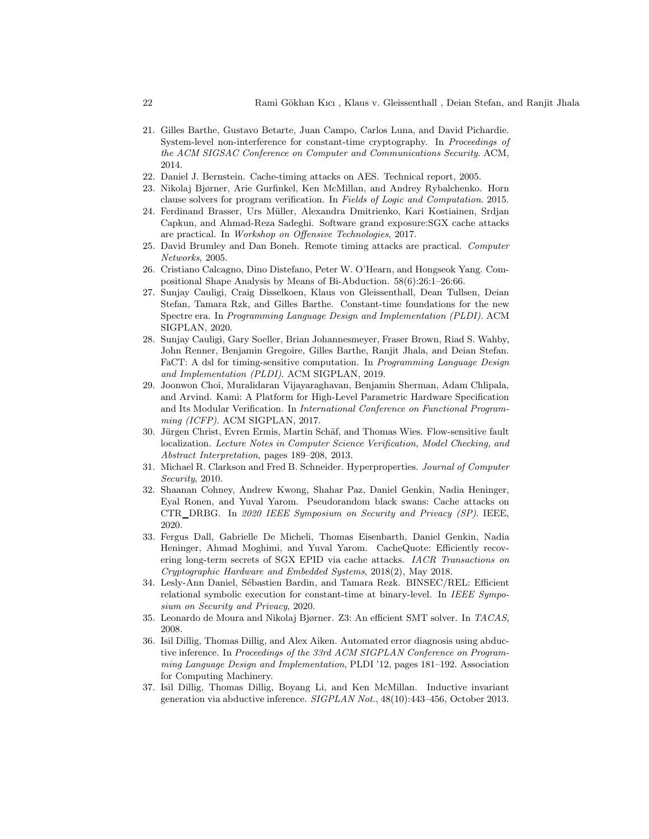- <span id="page-21-5"></span>21. Gilles Barthe, Gustavo Betarte, Juan Campo, Carlos Luna, and David Pichardie. System-level non-interference for constant-time cryptography. In Proceedings of the ACM SIGSAC Conference on Computer and Communications Security. ACM, 2014.
- <span id="page-21-9"></span><span id="page-21-1"></span>22. Daniel J. Bernstein. Cache-timing attacks on AES. Technical report, 2005.
- <span id="page-21-4"></span>23. Nikolaj Bjørner, Arie Gurfinkel, Ken McMillan, and Andrey Rybalchenko. Horn clause solvers for program verification. In Fields of Logic and Computation. 2015.
- 24. Ferdinand Brasser, Urs Müller, Alexandra Dmitrienko, Kari Kostiainen, Srdjan Capkun, and Ahmad-Reza Sadeghi. Software grand exposure:SGX cache attacks are practical. In Workshop on Offensive Technologies, 2017.
- <span id="page-21-0"></span>25. David Brumley and Dan Boneh. Remote timing attacks are practical. Computer Networks, 2005.
- <span id="page-21-13"></span><span id="page-21-8"></span>26. Cristiano Calcagno, Dino Distefano, Peter W. O'Hearn, and Hongseok Yang. Compositional Shape Analysis by Means of Bi-Abduction. 58(6):26:1–26:66.
- 27. Sunjay Cauligi, Craig Disselkoen, Klaus von Gleissenthall, Dean Tullsen, Deian Stefan, Tamara Rzk, and Gilles Barthe. Constant-time foundations for the new Spectre era. In Programming Language Design and Implementation (PLDI). ACM SIGPLAN, 2020.
- <span id="page-21-6"></span>28. Sunjay Cauligi, Gary Soeller, Brian Johannesmeyer, Fraser Brown, Riad S. Wahby, John Renner, Benjamin Gregoire, Gilles Barthe, Ranjit Jhala, and Deian Stefan. FaCT: A dsl for timing-sensitive computation. In Programming Language Design and Implementation (PLDI). ACM SIGPLAN, 2019.
- <span id="page-21-15"></span>29. Joonwon Choi, Muralidaran Vijayaraghavan, Benjamin Sherman, Adam Chlipala, and Arvind. Kami: A Platform for High-Level Parametric Hardware Specification and Its Modular Verification. In International Conference on Functional Programming (ICFP). ACM SIGPLAN, 2017.
- <span id="page-21-11"></span>30. Jürgen Christ, Evren Ermis, Martin Schäf, and Thomas Wies. Flow-sensitive fault localization. Lecture Notes in Computer Science Verification, Model Checking, and Abstract Interpretation, pages 189–208, 2013.
- <span id="page-21-16"></span>31. Michael R. Clarkson and Fred B. Schneider. Hyperproperties. Journal of Computer Security, 2010.
- <span id="page-21-3"></span>32. Shaanan Cohney, Andrew Kwong, Shahar Paz, Daniel Genkin, Nadia Heninger, Eyal Ronen, and Yuval Yarom. Pseudorandom black swans: Cache attacks on CTR DRBG. In 2020 IEEE Symposium on Security and Privacy (SP). IEEE, 2020.
- <span id="page-21-2"></span>33. Fergus Dall, Gabrielle De Micheli, Thomas Eisenbarth, Daniel Genkin, Nadia Heninger, Ahmad Moghimi, and Yuval Yarom. CacheQuote: Efficiently recovering long-term secrets of SGX EPID via cache attacks. IACR Transactions on Cryptographic Hardware and Embedded Systems, 2018(2), May 2018.
- <span id="page-21-7"></span>34. Lesly-Ann Daniel, Sébastien Bardin, and Tamara Rezk. BINSEC/REL: Efficient relational symbolic execution for constant-time at binary-level. In IEEE Symposium on Security and Privacy, 2020.
- <span id="page-21-12"></span><span id="page-21-10"></span>35. Leonardo de Moura and Nikolaj Bjørner. Z3: An efficient SMT solver. In TACAS, 2008.
- 36. Isil Dillig, Thomas Dillig, and Alex Aiken. Automated error diagnosis using abductive inference. In Proceedings of the 33rd ACM SIGPLAN Conference on Programming Language Design and Implementation, PLDI '12, pages 181–192. Association for Computing Machinery.
- <span id="page-21-14"></span>37. Isil Dillig, Thomas Dillig, Boyang Li, and Ken McMillan. Inductive invariant generation via abductive inference. SIGPLAN Not., 48(10):443–456, October 2013.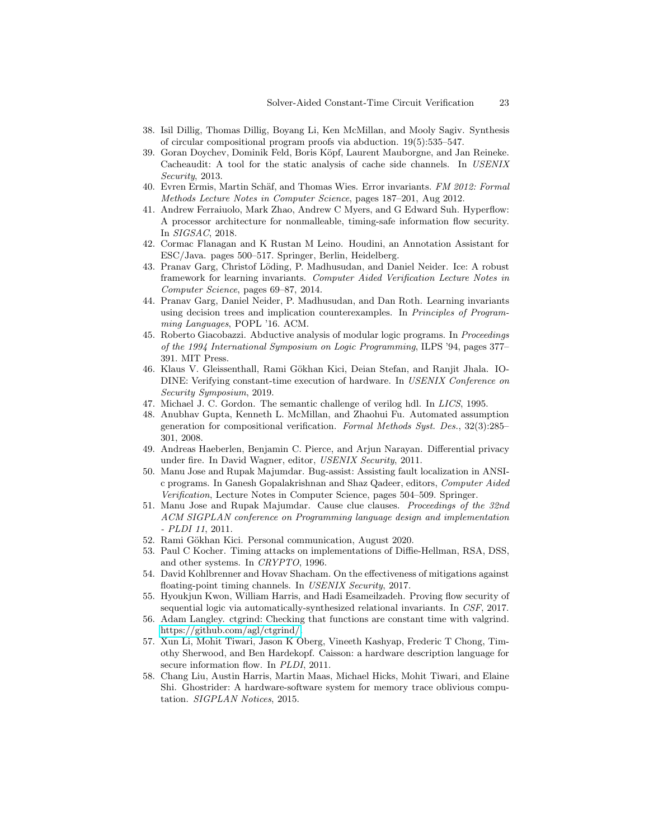- <span id="page-22-17"></span><span id="page-22-7"></span>38. Isil Dillig, Thomas Dillig, Boyang Li, Ken McMillan, and Mooly Sagiv. Synthesis of circular compositional program proofs via abduction. 19(5):535–547.
- 39. Goran Doychev, Dominik Feld, Boris Köpf, Laurent Mauborgne, and Jan Reineke. Cacheaudit: A tool for the static analysis of cache side channels. In USENIX Security, 2013.
- <span id="page-22-12"></span>40. Evren Ermis, Martin Schäf, and Thomas Wies. Error invariants. FM 2012: Formal Methods Lecture Notes in Computer Science, pages 187–201, Aug 2012.
- <span id="page-22-10"></span>41. Andrew Ferraiuolo, Mark Zhao, Andrew C Myers, and G Edward Suh. Hyperflow: A processor architecture for nonmalleable, timing-safe information flow security. In SIGSAC, 2018.
- <span id="page-22-19"></span>42. Cormac Flanagan and K Rustan M Leino. Houdini, an Annotation Assistant for ESC/Java. pages 500–517. Springer, Berlin, Heidelberg.
- <span id="page-22-15"></span>43. Pranav Garg, Christof Löding, P. Madhusudan, and Daniel Neider. Ice: A robust framework for learning invariants. Computer Aided Verification Lecture Notes in Computer Science, pages 69–87, 2014.
- <span id="page-22-16"></span>44. Pranav Garg, Daniel Neider, P. Madhusudan, and Dan Roth. Learning invariants using decision trees and implication counterexamples. In Principles of Programming Languages, POPL '16. ACM.
- <span id="page-22-18"></span>45. Roberto Giacobazzi. Abductive analysis of modular logic programs. In Proceedings of the 1994 International Symposium on Logic Programming, ILPS '94, pages 377– 391. MIT Press.
- <span id="page-22-3"></span>46. Klaus V. Gleissenthall, Rami Gökhan Kici, Deian Stefan, and Ranjit Jhala. IO-DINE: Verifying constant-time execution of hardware. In USENIX Conference on Security Symposium, 2019.
- <span id="page-22-20"></span><span id="page-22-5"></span>47. Michael J. C. Gordon. The semantic challenge of verilog hdl. In LICS, 1995.
- 48. Anubhav Gupta, Kenneth L. McMillan, and Zhaohui Fu. Automated assumption generation for compositional verification. Formal Methods Syst. Des., 32(3):285– 301, 2008.
- <span id="page-22-2"></span>49. Andreas Haeberlen, Benjamin C. Pierce, and Arjun Narayan. Differential privacy under fire. In David Wagner, editor, USENIX Security, 2011.
- <span id="page-22-13"></span>50. Manu Jose and Rupak Majumdar. Bug-assist: Assisting fault localization in ANSIc programs. In Ganesh Gopalakrishnan and Shaz Qadeer, editors, Computer Aided Verification, Lecture Notes in Computer Science, pages 504–509. Springer.
- <span id="page-22-14"></span>51. Manu Jose and Rupak Majumdar. Cause clue clauses. Proceedings of the 32nd ACM SIGPLAN conference on Programming language design and implementation - PLDI 11, 2011.
- <span id="page-22-6"></span><span id="page-22-0"></span>52. Rami Gökhan Kici. Personal communication, August 2020.
- 53. Paul C Kocher. Timing attacks on implementations of Diffie-Hellman, RSA, DSS, and other systems. In CRYPTO, 1996.
- <span id="page-22-1"></span>54. David Kohlbrenner and Hovav Shacham. On the effectiveness of mitigations against floating-point timing channels. In USENIX Security, 2017.
- <span id="page-22-9"></span>55. Hyoukjun Kwon, William Harris, and Hadi Esameilzadeh. Proving flow security of sequential logic via automatically-synthesized relational invariants. In CSF, 2017.
- <span id="page-22-8"></span>56. Adam Langley. ctgrind: Checking that functions are constant time with valgrind. [https://github.com/agl/ctgrind/.](https://github.com/agl/ctgrind/)
- <span id="page-22-4"></span>57. Xun Li, Mohit Tiwari, Jason K Oberg, Vineeth Kashyap, Frederic T Chong, Timothy Sherwood, and Ben Hardekopf. Caisson: a hardware description language for secure information flow. In *PLDI*, 2011.
- <span id="page-22-11"></span>58. Chang Liu, Austin Harris, Martin Maas, Michael Hicks, Mohit Tiwari, and Elaine Shi. Ghostrider: A hardware-software system for memory trace oblivious computation. SIGPLAN Notices, 2015.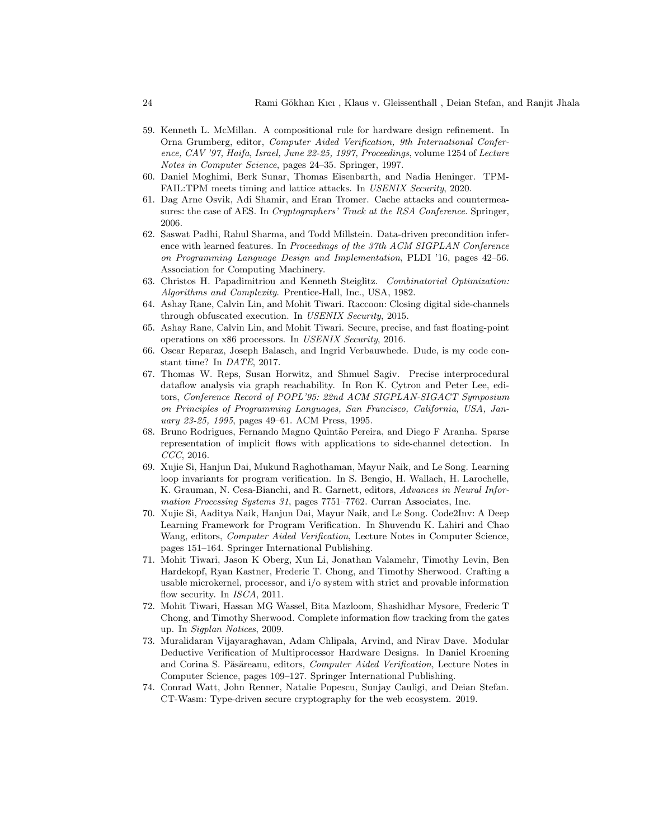- <span id="page-23-14"></span>59. Kenneth L. McMillan. A compositional rule for hardware design refinement. In Orna Grumberg, editor, Computer Aided Verification, 9th International Conference, CAV '97, Haifa, Israel, June 22-25, 1997, Proceedings, volume 1254 of Lecture Notes in Computer Science, pages 24–35. Springer, 1997.
- <span id="page-23-1"></span>60. Daniel Moghimi, Berk Sunar, Thomas Eisenbarth, and Nadia Heninger. TPM-FAIL:TPM meets timing and lattice attacks. In USENIX Security, 2020.
- <span id="page-23-0"></span>61. Dag Arne Osvik, Adi Shamir, and Eran Tromer. Cache attacks and countermeasures: the case of AES. In *Cryptographers' Track at the RSA Conference*. Springer, 2006.
- <span id="page-23-10"></span>62. Saswat Padhi, Rahul Sharma, and Todd Millstein. Data-driven precondition inference with learned features. In Proceedings of the 37th ACM SIGPLAN Conference on Programming Language Design and Implementation, PLDI '16, pages 42–56. Association for Computing Machinery.
- <span id="page-23-4"></span>63. Christos H. Papadimitriou and Kenneth Steiglitz. Combinatorial Optimization: Algorithms and Complexity. Prentice-Hall, Inc., USA, 1982.
- <span id="page-23-2"></span>64. Ashay Rane, Calvin Lin, and Mohit Tiwari. Raccoon: Closing digital side-channels through obfuscated execution. In USENIX Security, 2015.
- <span id="page-23-3"></span>65. Ashay Rane, Calvin Lin, and Mohit Tiwari. Secure, precise, and fast floating-point operations on x86 processors. In USENIX Security, 2016.
- <span id="page-23-9"></span>66. Oscar Reparaz, Joseph Balasch, and Ingrid Verbauwhede. Dude, is my code constant time? In DATE, 2017.
- <span id="page-23-13"></span>67. Thomas W. Reps, Susan Horwitz, and Shmuel Sagiv. Precise interprocedural dataflow analysis via graph reachability. In Ron K. Cytron and Peter Lee, editors, Conference Record of POPL'95: 22nd ACM SIGPLAN-SIGACT Symposium on Principles of Programming Languages, San Francisco, California, USA, January 23-25, 1995, pages 49–61. ACM Press, 1995.
- <span id="page-23-7"></span>68. Bruno Rodrigues, Fernando Magno Quint˜ao Pereira, and Diego F Aranha. Sparse representation of implicit flows with applications to side-channel detection. In CCC, 2016.
- <span id="page-23-11"></span>69. Xujie Si, Hanjun Dai, Mukund Raghothaman, Mayur Naik, and Le Song. Learning loop invariants for program verification. In S. Bengio, H. Wallach, H. Larochelle, K. Grauman, N. Cesa-Bianchi, and R. Garnett, editors, Advances in Neural Information Processing Systems 31, pages 7751–7762. Curran Associates, Inc.
- <span id="page-23-12"></span>70. Xujie Si, Aaditya Naik, Hanjun Dai, Mayur Naik, and Le Song. Code2Inv: A Deep Learning Framework for Program Verification. In Shuvendu K. Lahiri and Chao Wang, editors, Computer Aided Verification, Lecture Notes in Computer Science, pages 151–164. Springer International Publishing.
- <span id="page-23-5"></span>71. Mohit Tiwari, Jason K Oberg, Xun Li, Jonathan Valamehr, Timothy Levin, Ben Hardekopf, Ryan Kastner, Frederic T. Chong, and Timothy Sherwood. Crafting a usable microkernel, processor, and i/o system with strict and provable information flow security. In *ISCA*, 2011.
- <span id="page-23-8"></span>72. Mohit Tiwari, Hassan MG Wassel, Bita Mazloom, Shashidhar Mysore, Frederic T Chong, and Timothy Sherwood. Complete information flow tracking from the gates up. In Sigplan Notices, 2009.
- <span id="page-23-15"></span>73. Muralidaran Vijayaraghavan, Adam Chlipala, Arvind, and Nirav Dave. Modular Deductive Verification of Multiprocessor Hardware Designs. In Daniel Kroening and Corina S. Păsăreanu, editors, Computer Aided Verification, Lecture Notes in Computer Science, pages 109–127. Springer International Publishing.
- <span id="page-23-6"></span>74. Conrad Watt, John Renner, Natalie Popescu, Sunjay Cauligi, and Deian Stefan. CT-Wasm: Type-driven secure cryptography for the web ecosystem. 2019.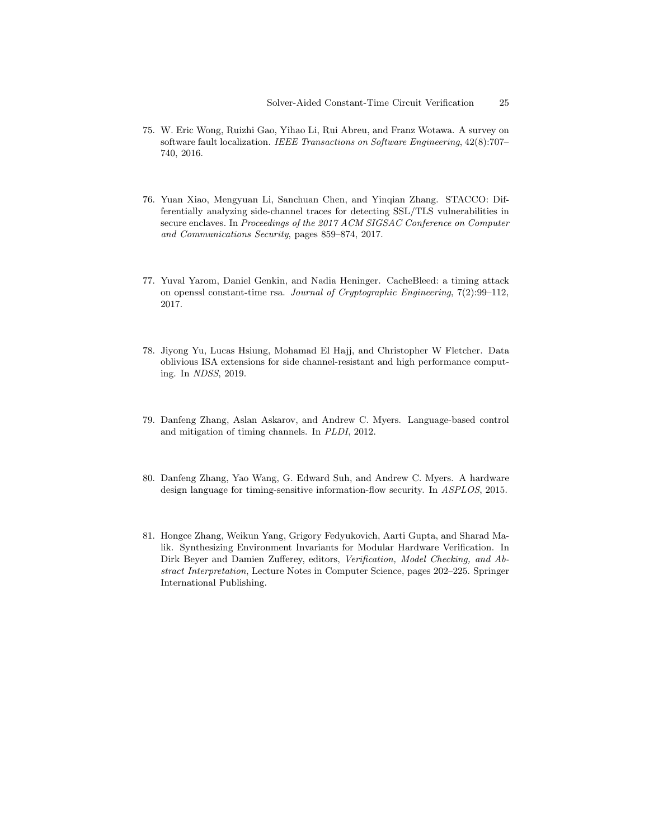- <span id="page-24-5"></span><span id="page-24-1"></span>75. W. Eric Wong, Ruizhi Gao, Yihao Li, Rui Abreu, and Franz Wotawa. A survey on software fault localization. IEEE Transactions on Software Engineering, 42(8):707– 740, 2016.
- <span id="page-24-0"></span>76. Yuan Xiao, Mengyuan Li, Sanchuan Chen, and Yinqian Zhang. STACCO: Differentially analyzing side-channel traces for detecting SSL/TLS vulnerabilities in secure enclaves. In Proceedings of the 2017 ACM SIGSAC Conference on Computer and Communications Security, pages 859–874, 2017.
- <span id="page-24-2"></span>77. Yuval Yarom, Daniel Genkin, and Nadia Heninger. CacheBleed: a timing attack on openssl constant-time rsa. Journal of Cryptographic Engineering, 7(2):99–112, 2017.
- <span id="page-24-4"></span>78. Jiyong Yu, Lucas Hsiung, Mohamad El Hajj, and Christopher W Fletcher. Data oblivious ISA extensions for side channel-resistant and high performance computing. In NDSS, 2019.
- <span id="page-24-3"></span>79. Danfeng Zhang, Aslan Askarov, and Andrew C. Myers. Language-based control and mitigation of timing channels. In PLDI, 2012.
- <span id="page-24-6"></span>80. Danfeng Zhang, Yao Wang, G. Edward Suh, and Andrew C. Myers. A hardware design language for timing-sensitive information-flow security. In ASPLOS, 2015.
- 81. Hongce Zhang, Weikun Yang, Grigory Fedyukovich, Aarti Gupta, and Sharad Malik. Synthesizing Environment Invariants for Modular Hardware Verification. In Dirk Beyer and Damien Zufferey, editors, Verification, Model Checking, and Abstract Interpretation, Lecture Notes in Computer Science, pages 202–225. Springer International Publishing.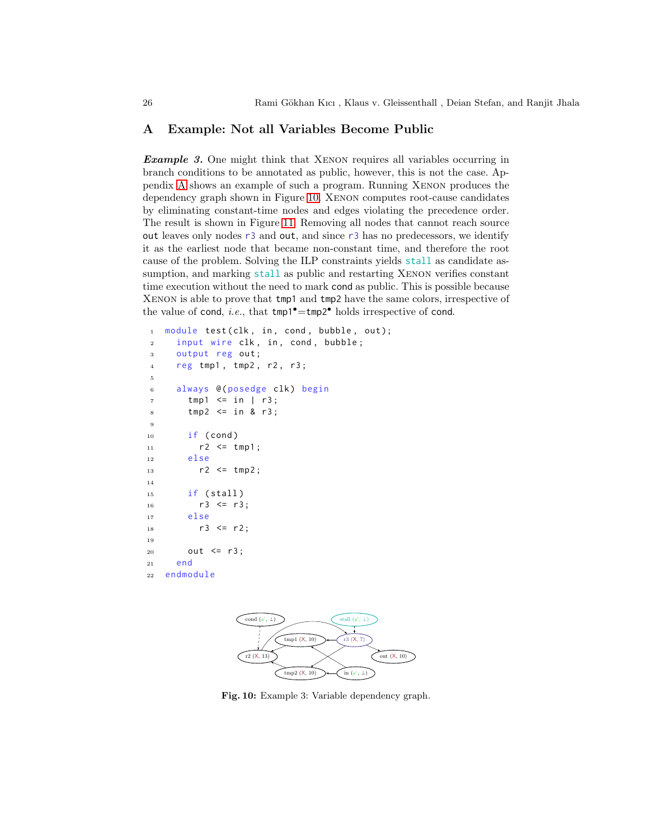### <span id="page-25-0"></span>A Example: Not all Variables Become Public

**Example 3.** One might think that XENON requires all variables occurring in branch conditions to be annotated as public, however, this is not the case. Appendix [A](#page-25-1) shows an example of such a program. Running Xenon produces the dependency graph shown in Figure [10.](#page-25-2) Xenon computes root-cause candidates by eliminating constant-time nodes and edges violating the precedence order. The result is shown in Figure [11.](#page-26-0) Removing all nodes that cannot reach source out leaves only nodes r3 and out, and since r3 has no predecessors, we identify it as the earliest node that became non-constant time, and therefore the root cause of the problem. Solving the ILP constraints yields stall as candidate assumption, and marking stall as public and restarting XENON verifies constant time execution without the need to mark cond as public. This is possible because Xenon is able to prove that tmp1 and tmp2 have the same colors, irrespective of the value of cond, *i.e.*, that  $tmp1^{\bullet} = tmp2^{\bullet}$  holds irrespective of cond.

```
1 module test (clk, in, cond, bubble, out);
2 input wire clk, in, cond, bubble;
3 output reg out;
4 reg tmp1 , tmp2 , r2 , r3 ;
5
6 always @ (posedge clk) begin
7 tmp1 \leq in | r3;
s tmp2 \leq in & r3;
9
_{10} if (cond)
11 r2 <= tmp1;
12 else
13 r2 \le tmp2;
14
15 if ( stall )
16 r3 \leq r3;
17 else
18 r3 \le r2;
19
20 out \leq r3;
21 end
22 endmodule
```
<span id="page-25-2"></span>

Fig. 10: Example 3: Variable dependency graph.